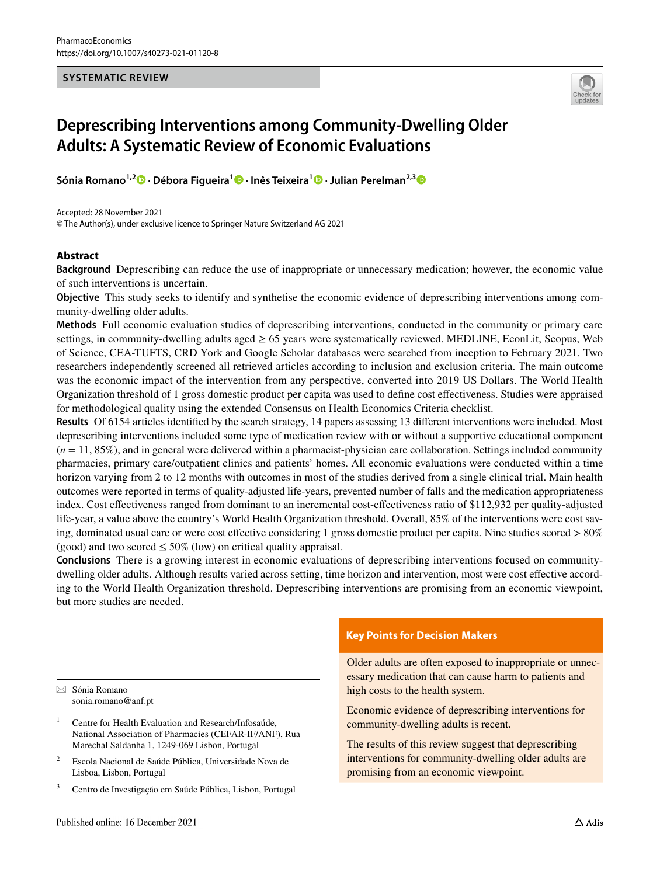### **SYSTEMATIC REVIEW**



# **Deprescribing Interventions among Community‑Dwelling Older Adults: A Systematic Review of Economic Evaluations**

**Sónia Romano1,2  [·](http://orcid.org/0000-0002-2055-0996) Débora Figueira1  [·](http://orcid.org/0000-0002-6886-4230) Inês Teixeira[1](http://orcid.org/0000-0003-3873-7158) · Julian Perelman2,[3](http://orcid.org/0000-0001-6634-9000)**

Accepted: 28 November 2021 © The Author(s), under exclusive licence to Springer Nature Switzerland AG 2021

### **Abstract**

**Background** Deprescribing can reduce the use of inappropriate or unnecessary medication; however, the economic value of such interventions is uncertain.

**Objective** This study seeks to identify and synthetise the economic evidence of deprescribing interventions among community-dwelling older adults.

**Methods** Full economic evaluation studies of deprescribing interventions, conducted in the community or primary care settings, in community-dwelling adults aged  $\geq 65$  years were systematically reviewed. MEDLINE, EconLit, Scopus, Web of Science, CEA-TUFTS, CRD York and Google Scholar databases were searched from inception to February 2021. Two researchers independently screened all retrieved articles according to inclusion and exclusion criteria. The main outcome was the economic impact of the intervention from any perspective, converted into 2019 US Dollars. The World Health Organization threshold of 1 gross domestic product per capita was used to defne cost efectiveness. Studies were appraised for methodological quality using the extended Consensus on Health Economics Criteria checklist.

**Results** Of 6154 articles identifed by the search strategy, 14 papers assessing 13 diferent interventions were included. Most deprescribing interventions included some type of medication review with or without a supportive educational component  $(n = 11, 85\%)$ , and in general were delivered within a pharmacist-physician care collaboration. Settings included community pharmacies, primary care/outpatient clinics and patients' homes. All economic evaluations were conducted within a time horizon varying from 2 to 12 months with outcomes in most of the studies derived from a single clinical trial. Main health outcomes were reported in terms of quality-adjusted life-years, prevented number of falls and the medication appropriateness index. Cost efectiveness ranged from dominant to an incremental cost-efectiveness ratio of \$112,932 per quality-adjusted life-year, a value above the country's World Health Organization threshold. Overall, 85% of the interventions were cost saving, dominated usual care or were cost efective considering 1 gross domestic product per capita. Nine studies scored > 80% (good) and two scored  $\leq 50\%$  (low) on critical quality appraisal.

**Conclusions** There is a growing interest in economic evaluations of deprescribing interventions focused on communitydwelling older adults. Although results varied across setting, time horizon and intervention, most were cost efective according to the World Health Organization threshold. Deprescribing interventions are promising from an economic viewpoint, but more studies are needed.

 $\boxtimes$  Sónia Romano sonia.romano@anf.pt

<sup>1</sup> Centre for Health Evaluation and Research/Infosaúde, National Association of Pharmacies (CEFAR-IF/ANF), Rua Marechal Saldanha 1, 1249-069 Lisbon, Portugal

- <sup>2</sup> Escola Nacional de Saúde Pública, Universidade Nova de Lisboa, Lisbon, Portugal
- <sup>3</sup> Centro de Investigação em Saúde Pública, Lisbon, Portugal

# **Key Points for Decision Makers**

Older adults are often exposed to inappropriate or unnecessary medication that can cause harm to patients and high costs to the health system.

Economic evidence of deprescribing interventions for community-dwelling adults is recent.

The results of this review suggest that deprescribing interventions for community-dwelling older adults are promising from an economic viewpoint.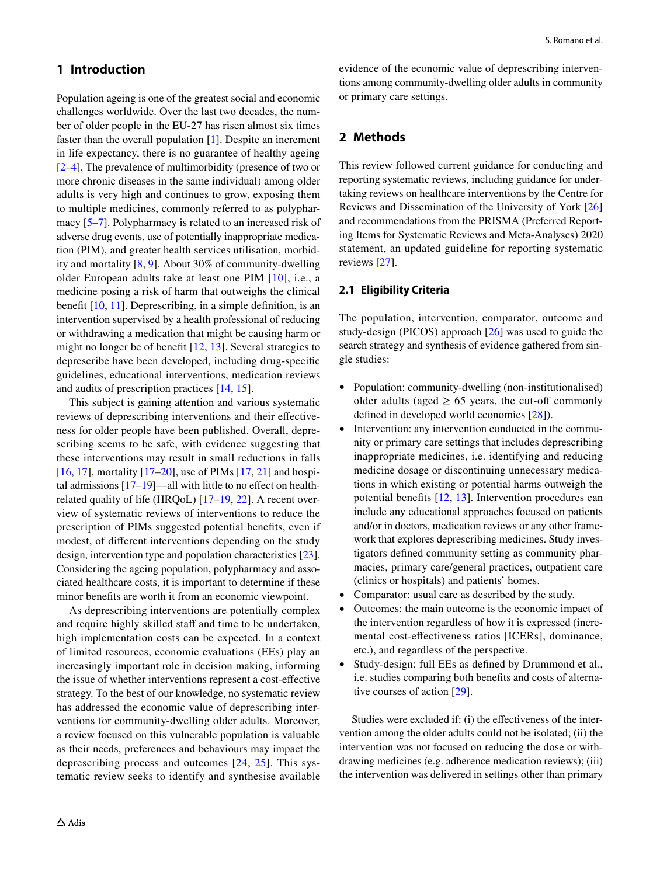# **1 Introduction**

Population ageing is one of the greatest social and economic challenges worldwide. Over the last two decades, the number of older people in the EU-27 has risen almost six times faster than the overall population [[1\]](#page-24-0). Despite an increment in life expectancy, there is no guarantee of healthy ageing [\[2](#page-24-1)[–4](#page-24-2)]. The prevalence of multimorbidity (presence of two or more chronic diseases in the same individual) among older adults is very high and continues to grow, exposing them to multiple medicines, commonly referred to as polypharmacy [\[5–](#page-24-3)[7\]](#page-24-4). Polypharmacy is related to an increased risk of adverse drug events, use of potentially inappropriate medication (PIM), and greater health services utilisation, morbidity and mortality [[8,](#page-24-5) [9\]](#page-24-6). About 30% of community-dwelling older European adults take at least one PIM [[10\]](#page-24-7), i.e., a medicine posing a risk of harm that outweighs the clinical beneft [\[10](#page-24-7), [11](#page-24-8)]. Deprescribing, in a simple defnition, is an intervention supervised by a health professional of reducing or withdrawing a medication that might be causing harm or might no longer be of beneft [\[12,](#page-24-9) [13\]](#page-24-10). Several strategies to deprescribe have been developed, including drug-specifc guidelines, educational interventions, medication reviews and audits of prescription practices [\[14](#page-24-11), [15](#page-25-0)].

This subject is gaining attention and various systematic reviews of deprescribing interventions and their efectiveness for older people have been published. Overall, deprescribing seems to be safe, with evidence suggesting that these interventions may result in small reductions in falls [\[16](#page-25-1), [17](#page-25-2)], mortality  $[17–20]$  $[17–20]$  $[17–20]$  $[17–20]$ , use of PIMs  $[17, 21]$  $[17, 21]$  $[17, 21]$  $[17, 21]$  and hospital admissions [[17–](#page-25-2)[19\]](#page-25-5)—all with little to no efect on healthrelated quality of life (HRQoL) [[17](#page-25-2)[–19](#page-25-5), [22](#page-25-6)]. A recent overview of systematic reviews of interventions to reduce the prescription of PIMs suggested potential benefts, even if modest, of diferent interventions depending on the study design, intervention type and population characteristics [\[23](#page-25-7)]. Considering the ageing population, polypharmacy and associated healthcare costs, it is important to determine if these minor benefts are worth it from an economic viewpoint.

As deprescribing interventions are potentially complex and require highly skilled staff and time to be undertaken, high implementation costs can be expected. In a context of limited resources, economic evaluations (EEs) play an increasingly important role in decision making, informing the issue of whether interventions represent a cost-efective strategy. To the best of our knowledge, no systematic review has addressed the economic value of deprescribing interventions for community-dwelling older adults. Moreover, a review focused on this vulnerable population is valuable as their needs, preferences and behaviours may impact the deprescribing process and outcomes [[24,](#page-25-8) [25](#page-25-9)]. This systematic review seeks to identify and synthesise available evidence of the economic value of deprescribing interventions among community-dwelling older adults in community or primary care settings.

# **2 Methods**

This review followed current guidance for conducting and reporting systematic reviews, including guidance for undertaking reviews on healthcare interventions by the Centre for Reviews and Dissemination of the University of York [[26\]](#page-25-10) and recommendations from the PRISMA (Preferred Reporting Items for Systematic Reviews and Meta-Analyses) 2020 statement, an updated guideline for reporting systematic reviews [[27\]](#page-25-11).

### **2.1 Eligibility Criteria**

The population, intervention, comparator, outcome and study-design (PICOS) approach [[26](#page-25-10)] was used to guide the search strategy and synthesis of evidence gathered from single studies:

- Population: community-dwelling (non-institutionalised) older adults (aged  $\geq$  65 years, the cut-off commonly defned in developed world economies [\[28](#page-25-12)]).
- Intervention: any intervention conducted in the community or primary care settings that includes deprescribing inappropriate medicines, i.e. identifying and reducing medicine dosage or discontinuing unnecessary medications in which existing or potential harms outweigh the potential benefts [[12,](#page-24-9) [13](#page-24-10)]. Intervention procedures can include any educational approaches focused on patients and/or in doctors, medication reviews or any other framework that explores deprescribing medicines. Study investigators defned community setting as community pharmacies, primary care/general practices, outpatient care (clinics or hospitals) and patients' homes.
- Comparator: usual care as described by the study.
- Outcomes: the main outcome is the economic impact of the intervention regardless of how it is expressed (incremental cost-efectiveness ratios [ICERs], dominance, etc.), and regardless of the perspective.
- Study-design: full EEs as defned by Drummond et al., i.e. studies comparing both benefts and costs of alternative courses of action [[29\]](#page-25-13).

Studies were excluded if: (i) the efectiveness of the intervention among the older adults could not be isolated; (ii) the intervention was not focused on reducing the dose or withdrawing medicines (e.g. adherence medication reviews); (iii) the intervention was delivered in settings other than primary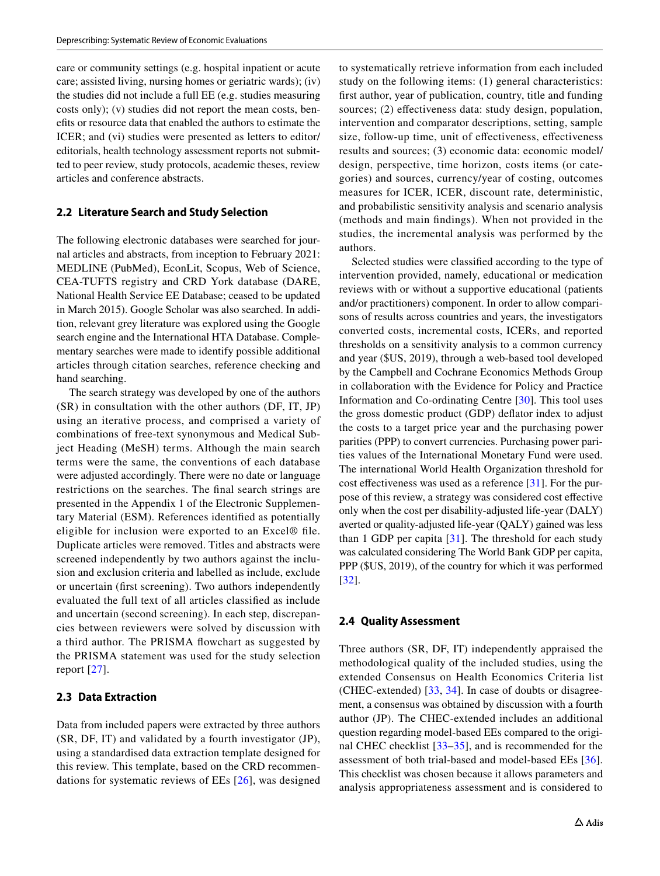care or community settings (e.g. hospital inpatient or acute care; assisted living, nursing homes or geriatric wards); (iv) the studies did not include a full EE (e.g. studies measuring costs only); (v) studies did not report the mean costs, benefts or resource data that enabled the authors to estimate the ICER; and (vi) studies were presented as letters to editor/ editorials, health technology assessment reports not submitted to peer review, study protocols, academic theses, review articles and conference abstracts.

#### **2.2 Literature Search and Study Selection**

The following electronic databases were searched for journal articles and abstracts, from inception to February 2021: MEDLINE (PubMed), EconLit, Scopus, Web of Science, CEA-TUFTS registry and CRD York database (DARE, National Health Service EE Database; ceased to be updated in March 2015). Google Scholar was also searched. In addition, relevant grey literature was explored using the Google search engine and the International HTA Database. Complementary searches were made to identify possible additional articles through citation searches, reference checking and hand searching.

The search strategy was developed by one of the authors (SR) in consultation with the other authors (DF, IT, JP) using an iterative process, and comprised a variety of combinations of free-text synonymous and Medical Subject Heading (MeSH) terms. Although the main search terms were the same, the conventions of each database were adjusted accordingly. There were no date or language restrictions on the searches. The fnal search strings are presented in the Appendix 1 of the Electronic Supplementary Material (ESM). References identifed as potentially eligible for inclusion were exported to an Excel® fle. Duplicate articles were removed. Titles and abstracts were screened independently by two authors against the inclusion and exclusion criteria and labelled as include, exclude or uncertain (frst screening). Two authors independently evaluated the full text of all articles classifed as include and uncertain (second screening). In each step, discrepancies between reviewers were solved by discussion with a third author. The PRISMA fowchart as suggested by the PRISMA statement was used for the study selection report [\[27\]](#page-25-11).

#### **2.3 Data Extraction**

Data from included papers were extracted by three authors (SR, DF, IT) and validated by a fourth investigator (JP), using a standardised data extraction template designed for this review. This template, based on the CRD recommendations for systematic reviews of EEs [\[26\]](#page-25-10), was designed to systematically retrieve information from each included study on the following items: (1) general characteristics: frst author, year of publication, country, title and funding sources; (2) effectiveness data: study design, population, intervention and comparator descriptions, setting, sample size, follow-up time, unit of efectiveness, efectiveness results and sources; (3) economic data: economic model/ design, perspective, time horizon, costs items (or categories) and sources, currency/year of costing, outcomes measures for ICER, ICER, discount rate, deterministic, and probabilistic sensitivity analysis and scenario analysis (methods and main fndings). When not provided in the studies, the incremental analysis was performed by the authors.

Selected studies were classifed according to the type of intervention provided, namely, educational or medication reviews with or without a supportive educational (patients and/or practitioners) component. In order to allow comparisons of results across countries and years, the investigators converted costs, incremental costs, ICERs, and reported thresholds on a sensitivity analysis to a common currency and year (\$US, 2019), through a web-based tool developed by the Campbell and Cochrane Economics Methods Group in collaboration with the Evidence for Policy and Practice Information and Co-ordinating Centre [\[30](#page-25-14)]. This tool uses the gross domestic product (GDP) defator index to adjust the costs to a target price year and the purchasing power parities (PPP) to convert currencies. Purchasing power parities values of the International Monetary Fund were used. The international World Health Organization threshold for cost effectiveness was used as a reference  $[31]$  $[31]$ . For the purpose of this review, a strategy was considered cost efective only when the cost per disability-adjusted life-year (DALY) averted or quality-adjusted life-year (QALY) gained was less than 1 GDP per capita [[31](#page-25-15)]. The threshold for each study was calculated considering The World Bank GDP per capita, PPP (\$US, 2019), of the country for which it was performed [[32\]](#page-25-16).

#### **2.4 Quality Assessment**

Three authors (SR, DF, IT) independently appraised the methodological quality of the included studies, using the extended Consensus on Health Economics Criteria list (CHEC-extended) [[33,](#page-25-17) [34\]](#page-25-18). In case of doubts or disagreement, a consensus was obtained by discussion with a fourth author (JP). The CHEC-extended includes an additional question regarding model-based EEs compared to the original CHEC checklist [\[33](#page-25-17)–[35\]](#page-25-19), and is recommended for the assessment of both trial-based and model-based EEs [[36](#page-25-20)]. This checklist was chosen because it allows parameters and analysis appropriateness assessment and is considered to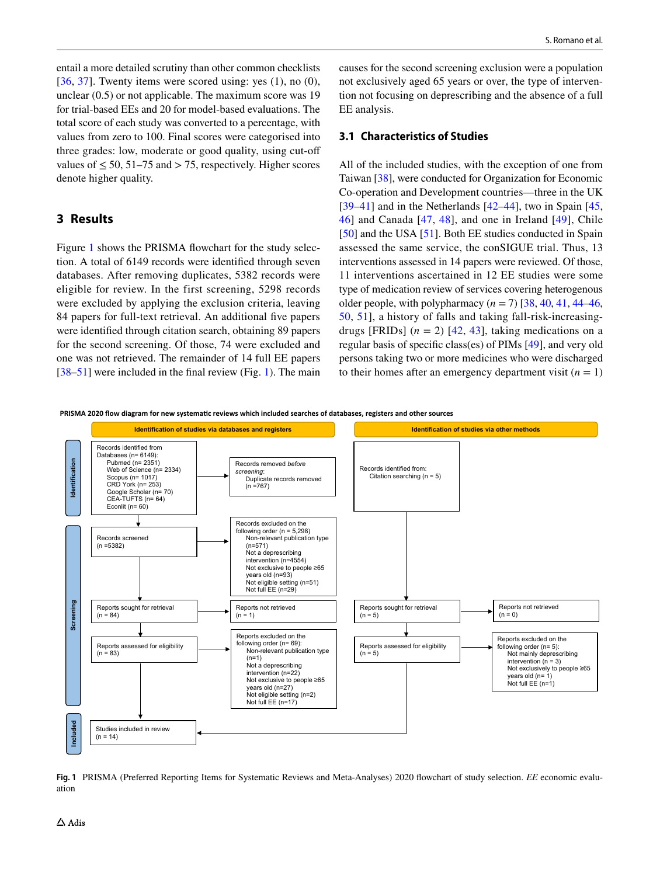entail a more detailed scrutiny than other common checklists [\[36,](#page-25-20) [37](#page-25-21)]. Twenty items were scored using: yes  $(1)$ , no  $(0)$ , unclear (0.5) or not applicable. The maximum score was 19 for trial-based EEs and 20 for model-based evaluations. The total score of each study was converted to a percentage, with values from zero to 100. Final scores were categorised into three grades: low, moderate or good quality, using cut-of values of  $\leq 50$ , 51–75 and > 75, respectively. Higher scores denote higher quality.

# **3 Results**

Figure [1](#page-3-0) shows the PRISMA flowchart for the study selection. A total of 6149 records were identifed through seven databases. After removing duplicates, 5382 records were eligible for review. In the first screening, 5298 records were excluded by applying the exclusion criteria, leaving 84 papers for full-text retrieval. An additional five papers were identifed through citation search, obtaining 89 papers for the second screening. Of those, 74 were excluded and one was not retrieved. The remainder of 14 full EE papers [\[38](#page-25-22)[–51](#page-26-0)] were included in the final review (Fig. [1](#page-3-0)). The main causes for the second screening exclusion were a population not exclusively aged 65 years or over, the type of intervention not focusing on deprescribing and the absence of a full EE analysis.

### **3.1 Characteristics of Studies**

All of the included studies, with the exception of one from Taiwan [[38\]](#page-25-22), were conducted for Organization for Economic Co-operation and Development countries—three in the UK [[39–](#page-25-23)[41\]](#page-25-24) and in the Netherlands  $[42-44]$  $[42-44]$  $[42-44]$ , two in Spain  $[45, 42]$  $[45, 42]$  $[45, 42]$ [46\]](#page-26-2) and Canada [[47](#page-26-3), [48\]](#page-26-4), and one in Ireland [[49](#page-26-5)], Chile [[50\]](#page-26-6) and the USA [\[51](#page-26-0)]. Both EE studies conducted in Spain assessed the same service, the conSIGUE trial. Thus, 13 interventions assessed in 14 papers were reviewed. Of those, 11 interventions ascertained in 12 EE studies were some type of medication review of services covering heterogenous older people, with polypharmacy  $(n = 7)$  [[38,](#page-25-22) [40](#page-25-27), [41](#page-25-24), [44–](#page-25-26)[46,](#page-26-2) [50](#page-26-6), [51\]](#page-26-0), a history of falls and taking fall-risk-increasingdrugs [FRIDs]  $(n = 2)$  [[42](#page-25-25), [43](#page-25-28)], taking medications on a regular basis of specifc class(es) of PIMs [[49\]](#page-26-5), and very old persons taking two or more medicines who were discharged to their homes after an emergency department visit  $(n = 1)$ 

PRISMA 2020 flow diagram for new systematic reviews which included searches of databases, registers and other sources



<span id="page-3-0"></span>**Fig. 1** PRISMA (Preferred Reporting Items for Systematic Reviews and Meta-Analyses) 2020 fowchart of study selection. *EE* economic evaluation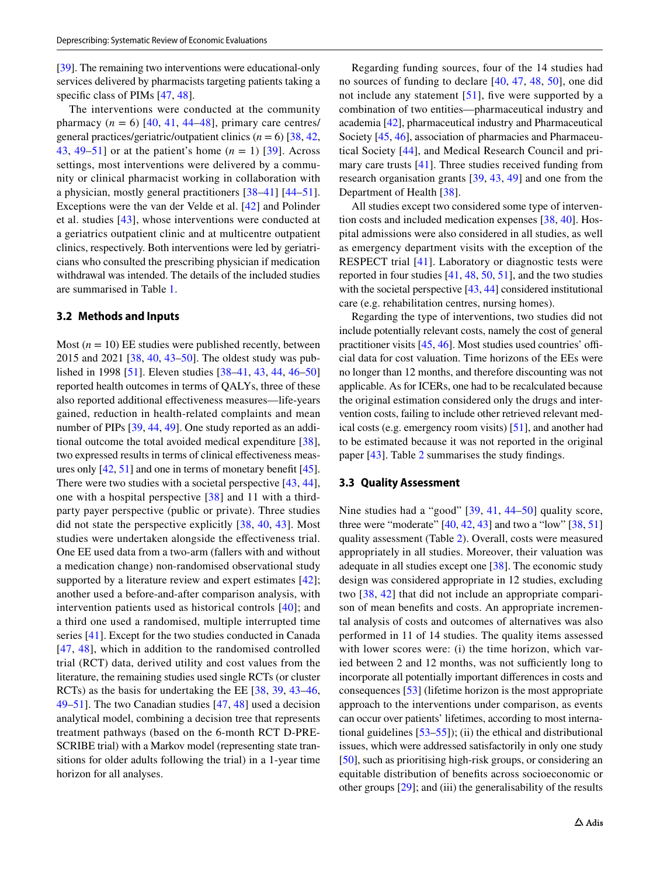[\[39](#page-25-23)]. The remaining two interventions were educational-only services delivered by pharmacists targeting patients taking a specific class of PIMs [[47](#page-26-3), [48](#page-26-4)].

The interventions were conducted at the community pharmacy  $(n = 6)$  [\[40,](#page-25-27) [41,](#page-25-24) [44](#page-25-26)[–48\]](#page-26-4), primary care centres/ general practices/geriatric/outpatient clinics  $(n = 6)$  [[38,](#page-25-22) [42,](#page-25-25) [43](#page-25-28), [49–](#page-26-5)[51](#page-26-0)] or at the patient's home (*n* = 1) [[39](#page-25-23)]. Across settings, most interventions were delivered by a community or clinical pharmacist working in collaboration with a physician, mostly general practitioners [[38–](#page-25-22)[41](#page-25-24)] [[44–](#page-25-26)[51](#page-26-0)]. Exceptions were the van der Velde et al. [\[42](#page-25-25)] and Polinder et al. studies [\[43](#page-25-28)], whose interventions were conducted at a geriatrics outpatient clinic and at multicentre outpatient clinics, respectively. Both interventions were led by geriatricians who consulted the prescribing physician if medication withdrawal was intended. The details of the included studies are summarised in Table [1.](#page-5-0)

#### **3.2 Methods and Inputs**

Most  $(n = 10)$  EE studies were published recently, between 2015 and 2021 [[38,](#page-25-22) [40](#page-25-27), [43–](#page-25-28)[50\]](#page-26-6). The oldest study was published in 1998 [\[51](#page-26-0)]. Eleven studies [[38](#page-25-22)[–41](#page-25-24), [43,](#page-25-28) [44](#page-25-26), [46–](#page-26-2)[50\]](#page-26-6) reported health outcomes in terms of QALYs, three of these also reported additional efectiveness measures—life-years gained, reduction in health-related complaints and mean number of PIPs [[39,](#page-25-23) [44,](#page-25-26) [49\]](#page-26-5). One study reported as an additional outcome the total avoided medical expenditure [\[38](#page-25-22)], two expressed results in terms of clinical effectiveness measures only [[42,](#page-25-25) [51](#page-26-0)] and one in terms of monetary beneft [\[45](#page-26-1)]. There were two studies with a societal perspective [\[43](#page-25-28), [44](#page-25-26)], one with a hospital perspective [\[38\]](#page-25-22) and 11 with a thirdparty payer perspective (public or private). Three studies did not state the perspective explicitly [[38](#page-25-22), [40](#page-25-27), [43](#page-25-28)]. Most studies were undertaken alongside the efectiveness trial. One EE used data from a two-arm (fallers with and without a medication change) non-randomised observational study supported by a literature review and expert estimates [[42](#page-25-25)]; another used a before-and-after comparison analysis, with intervention patients used as historical controls [[40](#page-25-27)]; and a third one used a randomised, multiple interrupted time series [[41](#page-25-24)]. Except for the two studies conducted in Canada [[47,](#page-26-3) [48](#page-26-4)], which in addition to the randomised controlled trial (RCT) data, derived utility and cost values from the literature, the remaining studies used single RCTs (or cluster RCTs) as the basis for undertaking the EE [[38](#page-25-22), [39,](#page-25-23) [43](#page-25-28)[–46,](#page-26-2) [49](#page-26-5)[–51](#page-26-0)]. The two Canadian studies [[47,](#page-26-3) [48](#page-26-4)] used a decision analytical model, combining a decision tree that represents treatment pathways (based on the 6-month RCT D-PRE-SCRIBE trial) with a Markov model (representing state transitions for older adults following the trial) in a 1-year time horizon for all analyses.

Regarding funding sources, four of the 14 studies had no sources of funding to declare [[40,](#page-25-27) [47,](#page-26-3) [48,](#page-26-4) [50](#page-26-6)], one did not include any statement [[51](#page-26-0)], fve were supported by a combination of two entities—pharmaceutical industry and academia [\[42](#page-25-25)], pharmaceutical industry and Pharmaceutical Society [[45,](#page-26-1) [46](#page-26-2)], association of pharmacies and Pharmaceutical Society [[44\]](#page-25-26), and Medical Research Council and primary care trusts [[41\]](#page-25-24). Three studies received funding from research organisation grants [[39](#page-25-23), [43,](#page-25-28) [49](#page-26-5)] and one from the Department of Health [\[38](#page-25-22)].

All studies except two considered some type of intervention costs and included medication expenses [[38](#page-25-22), [40](#page-25-27)]. Hospital admissions were also considered in all studies, as well as emergency department visits with the exception of the RESPECT trial [[41](#page-25-24)]. Laboratory or diagnostic tests were reported in four studies [[41,](#page-25-24) [48,](#page-26-4) [50,](#page-26-6) [51](#page-26-0)], and the two studies with the societal perspective [[43](#page-25-28), [44\]](#page-25-26) considered institutional care (e.g. rehabilitation centres, nursing homes).

Regarding the type of interventions, two studies did not include potentially relevant costs, namely the cost of general practitioner visits  $[45, 46]$  $[45, 46]$  $[45, 46]$  $[45, 46]$ . Most studies used countries' official data for cost valuation. Time horizons of the EEs were no longer than 12 months, and therefore discounting was not applicable. As for ICERs, one had to be recalculated because the original estimation considered only the drugs and intervention costs, failing to include other retrieved relevant medical costs (e.g. emergency room visits) [\[51](#page-26-0)], and another had to be estimated because it was not reported in the original paper [\[43\]](#page-25-28). Table [2](#page-12-0) summarises the study fndings.

#### **3.3 Quality Assessment**

Nine studies had a "good" [\[39,](#page-25-23) [41,](#page-25-24) [44–](#page-25-26)[50](#page-26-6)] quality score, three were "moderate"  $[40, 42, 43]$  $[40, 42, 43]$  $[40, 42, 43]$  $[40, 42, 43]$  $[40, 42, 43]$  $[40, 42, 43]$  and two a "low"  $[38, 51]$  $[38, 51]$  $[38, 51]$ quality assessment (Table [2\)](#page-12-0). Overall, costs were measured appropriately in all studies. Moreover, their valuation was adequate in all studies except one [[38](#page-25-22)]. The economic study design was considered appropriate in 12 studies, excluding two [[38,](#page-25-22) [42\]](#page-25-25) that did not include an appropriate comparison of mean benefts and costs. An appropriate incremental analysis of costs and outcomes of alternatives was also performed in 11 of 14 studies. The quality items assessed with lower scores were: (i) the time horizon, which varied between 2 and 12 months, was not sufficiently long to incorporate all potentially important diferences in costs and consequences [\[53](#page-26-7)] (lifetime horizon is the most appropriate approach to the interventions under comparison, as events can occur over patients' lifetimes, according to most international guidelines  $[53-55]$  $[53-55]$ ; (ii) the ethical and distributional issues, which were addressed satisfactorily in only one study [\[50](#page-26-6)], such as prioritising high-risk groups, or considering an equitable distribution of benefts across socioeconomic or other groups [[29\]](#page-25-13); and (iii) the generalisability of the results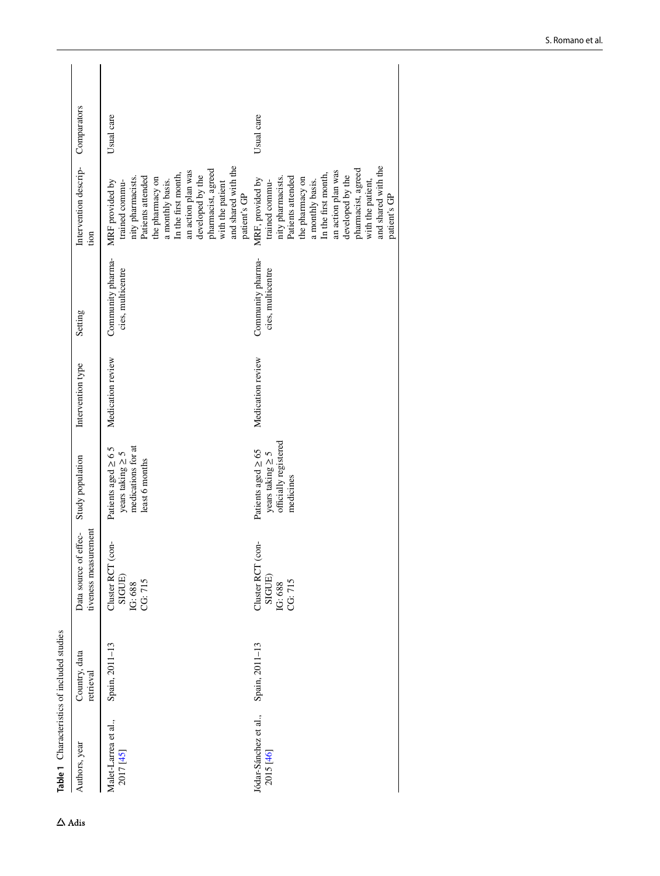<span id="page-5-0"></span>

| Table 1 Characteristics of included studies |                            |                                                     |                                                                                           |                   |                                        |                                                                                                                                                                                                                                                                        |             |
|---------------------------------------------|----------------------------|-----------------------------------------------------|-------------------------------------------------------------------------------------------|-------------------|----------------------------------------|------------------------------------------------------------------------------------------------------------------------------------------------------------------------------------------------------------------------------------------------------------------------|-------------|
| Authors, year                               | Country, data<br>retrieval | tiveness measurement<br>Data source of effec-       | Study population                                                                          | Intervention type | Setting                                | Intervention descrip-<br>tion                                                                                                                                                                                                                                          | Comparators |
| Malet-Larrea et al.,<br>2017 [45]           | Spain, 2011-13             | con<br>Cluster RCT<br>SIGUE)<br>CG: 715<br>IG: 688  | medications for at<br>Patients aged $\geq 6.5$<br>years taking $\geq$ 5<br>least 6 months | Medication review | Community pharma-<br>cies, multicentre | and shared with the<br>pharmacist, agreed<br>an action plan was<br>In the first month,<br>developed by the<br>Patients attended<br>the pharmacy on<br>nity pharmacists.<br>a monthly basis.<br>MRF provided by<br>trained commu-<br>with the patient<br>patient's GP   | Usual care  |
| Jódar-Sánchez et al.,<br>2015 [46]          | Spain, 2011-13             | conf<br>Cluster RCT<br>SIGUE)<br>CG: 715<br>IG: 688 | officially registered<br>Patients aged $\geq$ 65<br>years taking $\geq$ 5<br>medicines    | Medication review | Community pharma-<br>cies, multicentre | and shared with the<br>pharmacist, agreed<br>an action plan was<br>In the first month,<br>developed by the<br>Patients attended<br>nity pharmacists.<br>the pharmacy on<br>MRF, provided by<br>a monthly basis.<br>trained commu-<br>with the patient,<br>patient's GP | Usual care  |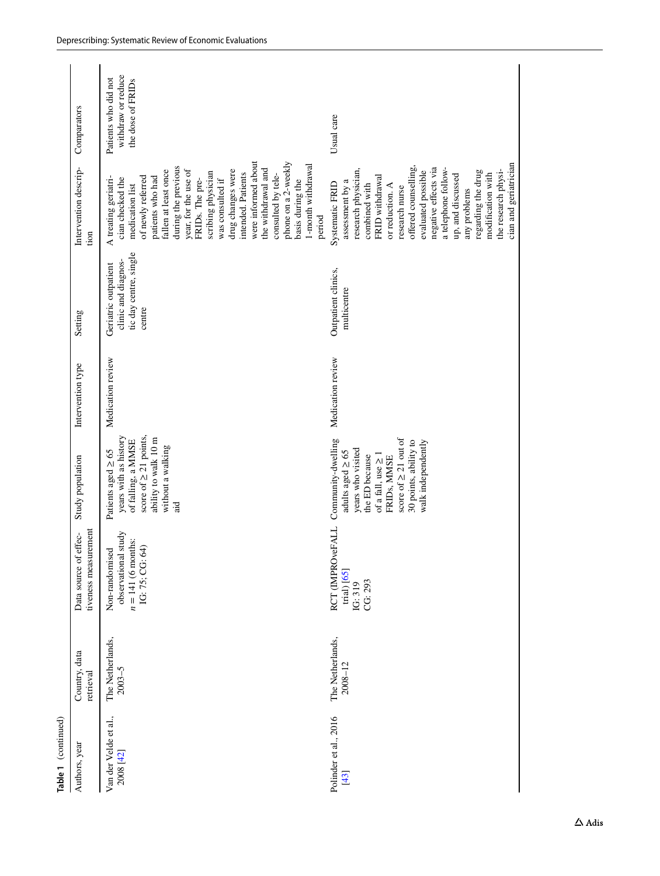| Table 1 (continued)                |                                 |                                                                                     |                                                                                                                                                                                                          |                   |                                                                                 |                                                                                                                                                                                                                                                                                                                                                                                                                                   |                                                                 |
|------------------------------------|---------------------------------|-------------------------------------------------------------------------------------|----------------------------------------------------------------------------------------------------------------------------------------------------------------------------------------------------------|-------------------|---------------------------------------------------------------------------------|-----------------------------------------------------------------------------------------------------------------------------------------------------------------------------------------------------------------------------------------------------------------------------------------------------------------------------------------------------------------------------------------------------------------------------------|-----------------------------------------------------------------|
| Authors, year                      | Country, data<br>retrieval      | tiveness measurement<br>Data source of effec-                                       | Study population                                                                                                                                                                                         | Intervention type | Setting                                                                         | Intervention descrip-<br>tion                                                                                                                                                                                                                                                                                                                                                                                                     | Comparators                                                     |
| Van der Velde et al.,<br>2008 [42] | The Netherlands,<br>$2003 - 5$  | study<br>$n = 141$ (6 months:<br>IG: 75; CG: 64)<br>Non-randomised<br>observational | score of $\geq 21$ points,<br>years with as history<br>ability to walk 10 m<br>of falling, a MMSE<br>without a walking<br>Patients aged $\geq 65$<br>aid                                                 | Medication review | tic day centre, single<br>clinic and diagnos-<br>Geriatric outpatient<br>centre | were informed about<br>phone on a 2-weekly<br>1-month withdrawal<br>during the previous<br>the withdrawal and<br>year, for the use of<br>drug changes were<br>fallen at least once<br>scribing physician<br>intended. Patients<br>consulted by tele-<br>of newly referred<br>A treating geriatri-<br>patients who had<br>cian checked the<br>was consulted if<br>FRIDs. The pre-<br>basis during the<br>medication list<br>period | withdraw or reduce<br>Patients who did not<br>the dose of FRIDs |
| Polinder et al., 2016<br>$[43]$    | The Netherlands,<br>$2008 - 12$ | RCT (IMPROveFALL<br>trial) [65]<br>CG: 293<br>IG: 319                               | score of $\geq 21$ out of<br>Community-dwelling<br>30 points, ability to<br>walk independently<br>years who visited<br>adults aged $\geq 65$<br>of a fall, use $\geq 1$<br>the ED because<br>FRIDs, MMSE | Medication review | Outpatient clinics,<br>multicentre                                              | cian and geriatrician<br>offered counselling,<br>negative effects via<br>a telephone follow-<br>research physician,<br>the research physi-<br>evaluated possible<br>regarding the drug<br>modification with<br>up, and discussed<br>FRID withdrawal<br>assessment by a<br>Systematic FRID<br>combined with<br>or reduction. A<br>research nurse<br>any problems                                                                   | Usual care                                                      |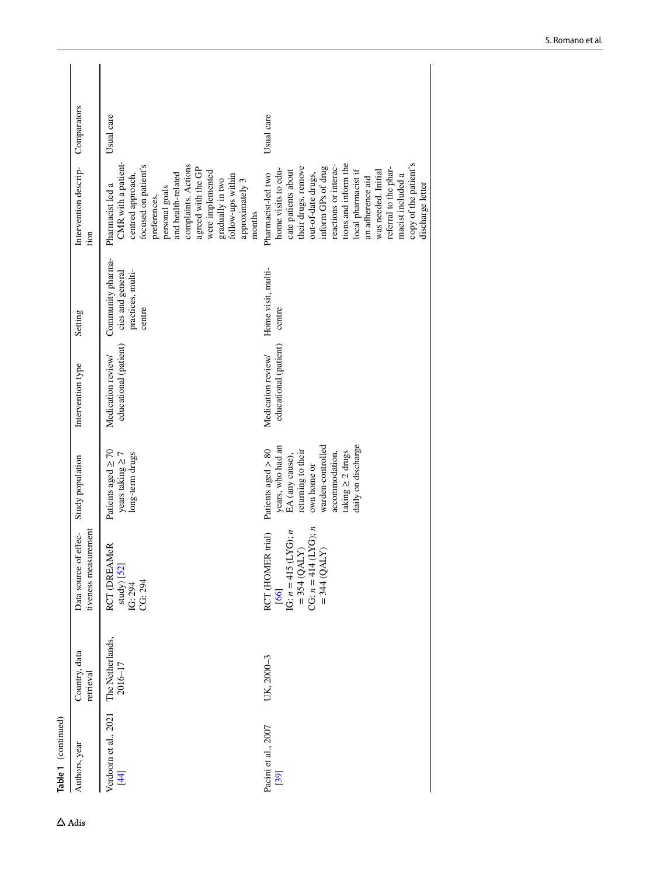| Table 1 (continued)                        |                             |                                                                                                                                       |                                                                                                                                                                                         |                                             |                                                                      |                                                                                                                                                                                                                                                                                                                                                   |             |
|--------------------------------------------|-----------------------------|---------------------------------------------------------------------------------------------------------------------------------------|-----------------------------------------------------------------------------------------------------------------------------------------------------------------------------------------|---------------------------------------------|----------------------------------------------------------------------|---------------------------------------------------------------------------------------------------------------------------------------------------------------------------------------------------------------------------------------------------------------------------------------------------------------------------------------------------|-------------|
| Authors, year                              | Country, data<br>retrieval  | tiveness measurement<br>Data source of effec-                                                                                         | Study population                                                                                                                                                                        | Intervention type                           | Setting                                                              | Intervention descrip-<br>tion                                                                                                                                                                                                                                                                                                                     | Comparators |
| Verdoorn et al., 2021<br>$\left[44\right]$ | The Netherlands,<br>2016-17 | RCT (DREAMeR<br>study) [52]<br>CG: 294<br>IG: 294                                                                                     | Patients aged $\geq 70$<br>years taking $\geq 7$<br>long-term drugs                                                                                                                     | educational (patient)<br>Medication review/ | Community pharma-<br>practices, multi-<br>cies and general<br>centre | CMR with a patient-<br>complaints. Actions<br>focused on patient's<br>agreed with the GP<br>were implemented<br>and health-related<br>follow-ups within<br>centred approach<br>gradually in two<br>approximately 3<br>Pharmacist led a<br>personal goals<br>preferences,<br>months                                                                | Usual care  |
| Pacini et al., 2007<br>[39]                | UK, 2000-3                  | = 354 (QALY)<br>CG: $n = 414$ (LYG); n<br>$LYG$ ; n<br>RCT (HOMER trial)<br>$=$ 344 (QALY)<br>IG: $n = 415$ (L<br>= 354 (QAL)<br>[66] | warden-controlled<br>daily on discharge<br>years, who had an<br>Patients aged $> 80$<br>returning to their<br>taking $\geq 2$ drugs<br>accommodation,<br>EA (any cause),<br>own home or | educational (patient)<br>Medication review/ | Home visit, multi-<br>centre                                         | tions and inform the<br>copy of the patient's<br>reactions or interac-<br>their drugs, remove<br>inform GPs of drug<br>referral to the phar-<br>home visits to edu-<br>local pharmacist if<br>cate patients about<br>was needed. Initial<br>out-of-date drugs,<br>Pharmacist-led two<br>macist included a<br>an adherence aid<br>discharge letter | Usual care  |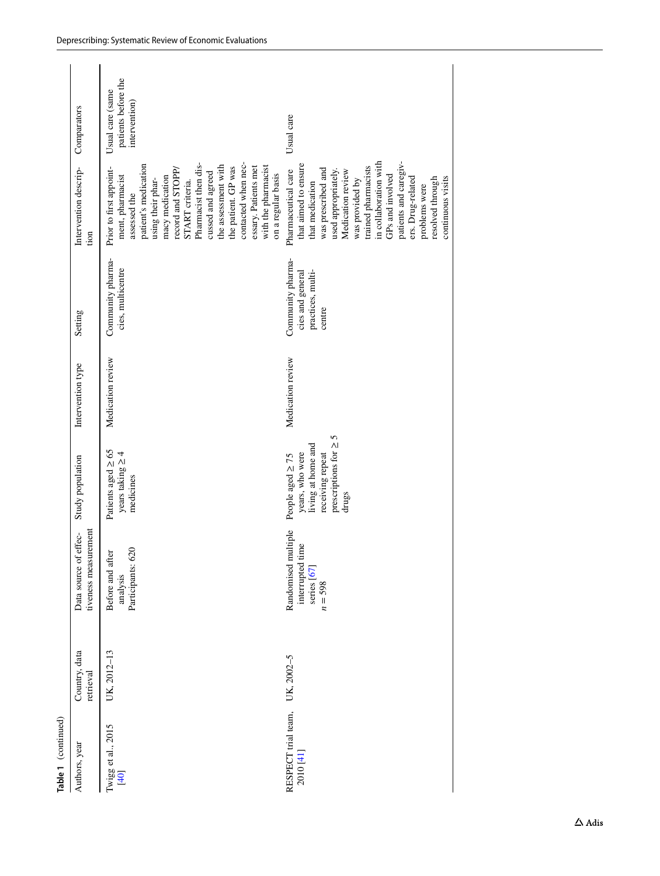| Table 1 (continued)              |                            |                                                                     |                                                                                                                              |                   |                                                                      |                                                                                                                                                                                                                                                                                                                                                            |                                                         |
|----------------------------------|----------------------------|---------------------------------------------------------------------|------------------------------------------------------------------------------------------------------------------------------|-------------------|----------------------------------------------------------------------|------------------------------------------------------------------------------------------------------------------------------------------------------------------------------------------------------------------------------------------------------------------------------------------------------------------------------------------------------------|---------------------------------------------------------|
| Authors, year                    | Country, data<br>retrieval | tiveness measurement<br>effec-<br>Data source of                    | Study population                                                                                                             | Intervention type | Setting                                                              | Intervention descrip-<br>tion                                                                                                                                                                                                                                                                                                                              | Comparators                                             |
| Twigg et al., 2015<br>[40]       | UK, 2012-13                | Participants: 620<br>Before and after<br>analysis                   | Patients aged $\geq 65$<br>years taking $\geq$ 4<br>medicines                                                                | Medication review | Community pharma-<br>cies, multicentre                               | Pharmacist then dis-<br>patient's medication<br>contacted when nec-<br>the assessment with<br>with the pharmacist<br>the patient. GP was<br>essary. Patients met<br>Prior to first appoint-<br>record and STOPP/<br>cussed and agreed<br>on a regular basis<br>ment, pharmacist<br>macy medication<br>using their phar-<br>START criteria.<br>assessed the | patients before the<br>Usual care (same<br>intervention |
| RESPECT trial team,<br>2010 [41] | UK, 2002-5                 | Randomised multiple<br>interrupted time<br>series [67]<br>$n = 598$ | 5<br>prescriptions for $\geq$<br>living at home and<br>years, who were<br>receiving repeat<br>People aged $\geq 75$<br>drugs | Medication review | Community pharma-<br>cies and general<br>practices, multi-<br>centre | in collaboration with<br>patients and caregiv-<br>that aimed to ensure<br>trained pharmacists<br>was prescribed and<br>Pharmaceutical care<br>used appropriately.<br>Medication review<br>GPs and involved<br>continuous visits<br>ers. Drug-related<br>resolved through<br>was provided by<br>that medication<br>problems were                            | Usual care                                              |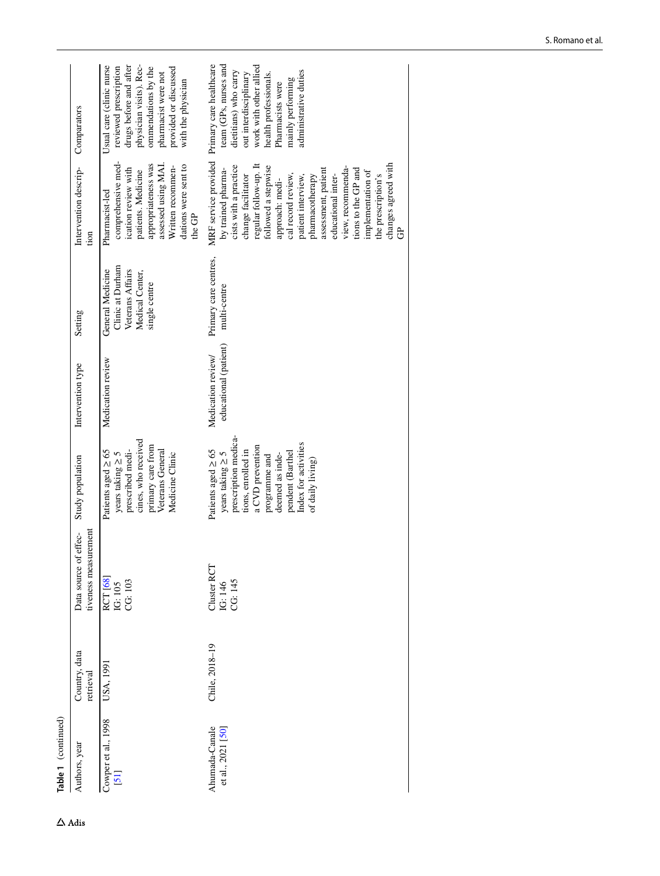Table 1 (continued) **Table 1** (continued)

| Authors, year                       | Country, data<br>retrieval | tiveness measurement<br>effec-<br>Data source of | Study population                                                                                                                                                                                                       | Intervention type                           | Setting                                                                                      | Intervention descrip-<br>tion                                                                                                                                                                                                                                                                                                                                                                | Comparators                                                                                                                                                                                                             |
|-------------------------------------|----------------------------|--------------------------------------------------|------------------------------------------------------------------------------------------------------------------------------------------------------------------------------------------------------------------------|---------------------------------------------|----------------------------------------------------------------------------------------------|----------------------------------------------------------------------------------------------------------------------------------------------------------------------------------------------------------------------------------------------------------------------------------------------------------------------------------------------------------------------------------------------|-------------------------------------------------------------------------------------------------------------------------------------------------------------------------------------------------------------------------|
| Cowper et al., 1998<br>$[51]$       | USA, 1991                  | RCT [68]<br>IG: 105<br>CG: 103                   | cines, who received<br>primary care from<br>prescribed medi-<br>Veterans General<br>Patients aged $\geq 65$<br>years taking $\geq$ 5<br>Medicine Clinic                                                                | Medication review                           | Clinic at Durham<br>General Medicine<br>Veterans Affairs<br>Medical Center,<br>single centre | comprehensive med-<br>assessed using MAI.<br>appropriateness was<br>dations were sent to<br>Written recommen-<br>ication review with<br>patients. Medicine<br>Pharmacist-led<br>the GP                                                                                                                                                                                                       | physician visits). Rec-<br>Usual care (clinic nurse<br>drugs before and after<br>reviewed prescription<br>ommendations by the<br>provided or discussed<br>pharmacist were not<br>with the physician                     |
| Ahumada-Canale<br>et al., 2021 [50] | Chile, 2018-19             | Cluster RCT<br>IG: 146<br>CG: 145                | prescription medica-<br>Index for activities<br>a CVD prevention<br>Patients aged $\geq 65$<br>tions, enrolled in<br>pendent (Barthel<br>years taking $\geq$ 5<br>deemed as inde-<br>programme and<br>of daily living) | educational (patient)<br>Medication review/ | Primary care centres,<br>multi-centre                                                        | MRF service provided<br>changes agreed with<br>regular follow-up. It<br>cists with a practice<br>followed a stepwise<br>view, recommenda-<br>by trained pharma-<br>assessment, patient<br>tions to the GP and<br>implementation of<br>cal record review,<br>change facilitator<br>educational inter-<br>patient interview,<br>the prescription's<br>pharmacotherapy<br>approach: medi-<br>පි | team (GPs, nurses and<br>Primary care healthcare<br>work with other allied<br>administrative duties<br>dietitians) who carry<br>health professionals.<br>out interdisciplinary<br>mainly performing<br>Pharmacists were |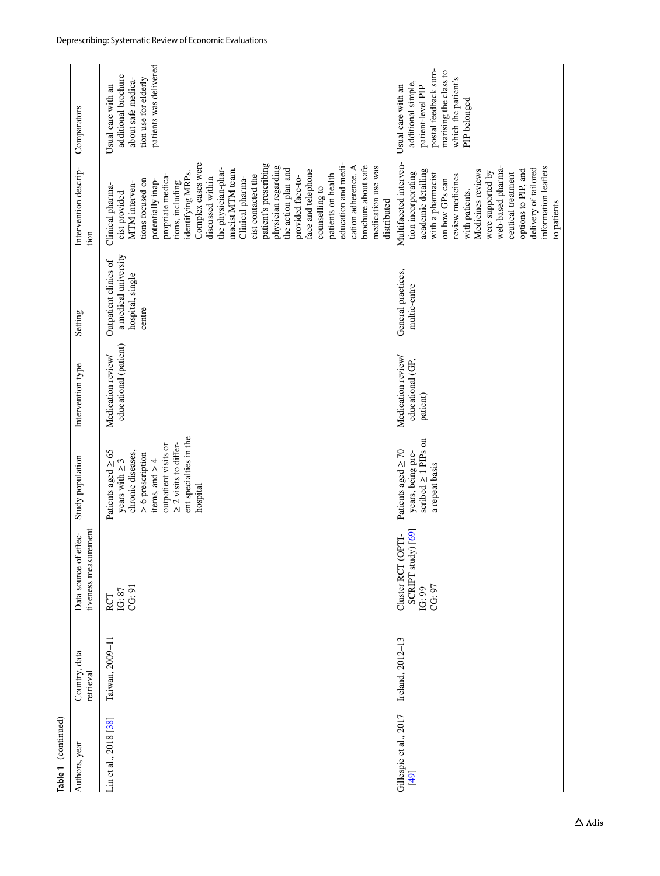| Table 1 (continued)            |                            |                                                              |                                                                                                                                                                                                           |                                                    |                                                                             |                                                                                                                                                                                                                                                                                                                                                                                                                                                                                                                                                              |                                                                                                                                                       |
|--------------------------------|----------------------------|--------------------------------------------------------------|-----------------------------------------------------------------------------------------------------------------------------------------------------------------------------------------------------------|----------------------------------------------------|-----------------------------------------------------------------------------|--------------------------------------------------------------------------------------------------------------------------------------------------------------------------------------------------------------------------------------------------------------------------------------------------------------------------------------------------------------------------------------------------------------------------------------------------------------------------------------------------------------------------------------------------------------|-------------------------------------------------------------------------------------------------------------------------------------------------------|
| Authors, year                  | Country, data<br>retrieval | tiveness measurement<br>effec-<br>Data source of             | Study population                                                                                                                                                                                          | Intervention type                                  | Setting                                                                     | Intervention descrip-<br>tion                                                                                                                                                                                                                                                                                                                                                                                                                                                                                                                                | Comparators                                                                                                                                           |
| Lin et al., 2018 [38]          | Taiwan, 2009-11            | CG: 91<br>IG: 87<br>RCT                                      | ent specialties in the<br>outpatient visits or<br>$\geq$ 2 visits to differ-<br>Patients aged $\geq 65$<br>chronic diseases,<br>$> 6$ prescription<br>years with $\geq$ 3<br>items, and $> 4$<br>hospital | educational (patient)<br>Medication review/        | a medical university<br>Outpatient clinics of<br>hospital, single<br>centre | Complex cases were<br>education and medi-<br>patient's prescribing<br>cation adherence. A<br>brochure about safe<br>physician regarding<br>medication use was<br>the physician-phar-<br>the action plan and<br>macist MTM team.<br>face and telephone<br>identifying MRPs.<br>cist contacted the<br>propriate medica-<br>patients on health<br>discussed within<br>provided face-to-<br>Clinical pharma-<br>potentially inap-<br>tions focused on<br>tions, including<br>MTM interven-<br>Clinical pharma-<br>counselling to<br>cist provided<br>distributed | patients was delivered<br>additional brochure<br>tion use for elderly<br>about safe medica-<br>Usual care with an                                     |
| Gillespie et al., 2017<br>[49] | Ireland, 2012-13           | SCRIPT study) [69]<br>Cluster RCT (OPTI-<br>CG: 97<br>IG: 99 | scribed ≥ 1 PIPs on<br>Patients aged $\geq 70$<br>years, being pre-<br>a repeat basis                                                                                                                     | Medication review/<br>educational (GP,<br>patient) | General practices,<br>multic-entre                                          | Multifaceted interven-<br>web-based pharma-<br>information leaflets<br>delivery of tailored<br>academic detailing<br>Medicines reviews<br>options to PIP, and<br>were supported by<br>tion incorporating<br>with a pharmacist<br>ceutical treatment<br>review medicines<br>on how GPs can<br>with patients.<br>to patients                                                                                                                                                                                                                                   | postal feedback sum-<br>marising the class to<br>which the patient's<br>additional simple,<br>Usual care with an<br>patient-level PIP<br>PIP belonged |
|                                |                            |                                                              |                                                                                                                                                                                                           |                                                    |                                                                             |                                                                                                                                                                                                                                                                                                                                                                                                                                                                                                                                                              |                                                                                                                                                       |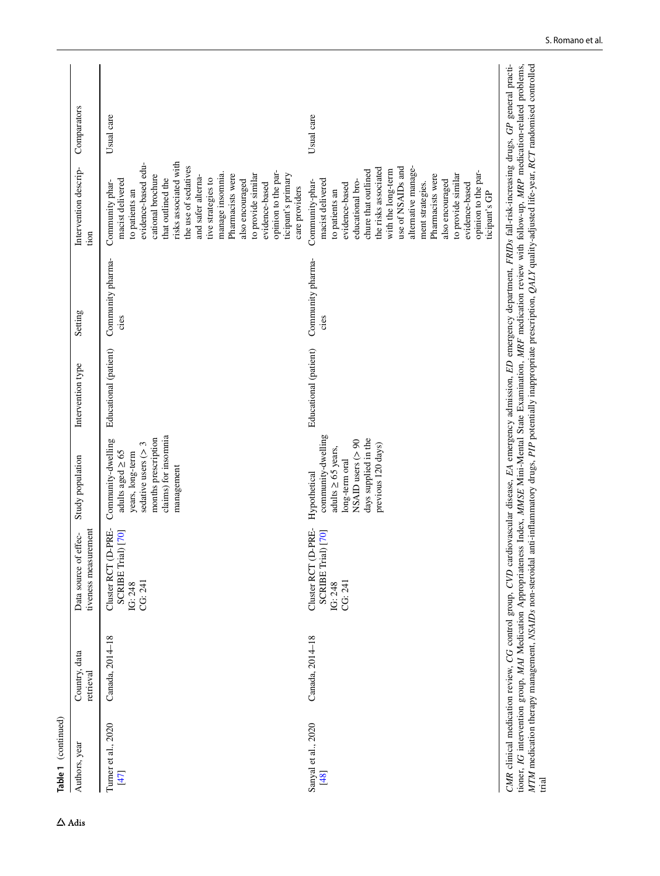| Table 1 (continued)           |                            |                                                                                                                                                                                                                                                                                                                                                                                                                                                                                                                                                                   |                                                                                                                                                       |                       |                           |                                                                                                                                                                                                                                                                                                                                                                                       |             |
|-------------------------------|----------------------------|-------------------------------------------------------------------------------------------------------------------------------------------------------------------------------------------------------------------------------------------------------------------------------------------------------------------------------------------------------------------------------------------------------------------------------------------------------------------------------------------------------------------------------------------------------------------|-------------------------------------------------------------------------------------------------------------------------------------------------------|-----------------------|---------------------------|---------------------------------------------------------------------------------------------------------------------------------------------------------------------------------------------------------------------------------------------------------------------------------------------------------------------------------------------------------------------------------------|-------------|
| Authors, year                 | Country, data<br>retrieval | tiveness measurement<br>effec-<br>Data source of                                                                                                                                                                                                                                                                                                                                                                                                                                                                                                                  | Study population                                                                                                                                      | Intervention type     | Setting                   | Intervention descrip-<br>tion                                                                                                                                                                                                                                                                                                                                                         | Comparators |
| Turner et al., 2020<br>$[47]$ | Canada, 2014-18            | Cluster RCT (D-PRE-<br>SCRIBE Trial) [70]<br>CG: 241<br>IG: 248                                                                                                                                                                                                                                                                                                                                                                                                                                                                                                   | claims) for insomnia<br>months prescription<br>Community-dwelling<br>sedative users $(> 3$<br>adults aged $\geq 65$<br>years, long-term<br>management | Educational (patient) | Community pharma-<br>cies | risks associated with<br>evidence-based edu-<br>the use of sedatives<br>opinion to the par-<br>manage insomnia.<br>Pharmacists were<br>to provide similar<br>ticipant's primary<br>cational brochure<br>and safer alterna-<br>that outlined the<br>macist delivered<br>tive strategies to<br>also encouraged<br>Community phar-<br>evidence-based<br>care providers<br>to patients an | Usual care  |
| Sanyal et al., 2020<br>[48]   | Canada, 2014-18            | Cluster RCT (D-PRE-<br>SCRIBE Trial) [70]<br>CG: 241<br>IG: 248                                                                                                                                                                                                                                                                                                                                                                                                                                                                                                   | community-dwelling<br>days supplied in the<br>NSAID users (> 90<br>previous 120 days)<br>adults $\geq$ 65 years.<br>long-term oral<br>Hypothetical    | Educational (patient) | Community pharma-<br>cies | alternative manage-<br>use of NSAIDs and<br>the risks associated<br>chure that outlined<br>with the long-term<br>opinion to the par-<br>to provide similar<br>Pharmacists were<br>macist delivered<br>also encouraged<br>Community-phar-<br>educational bro-<br>evidence-based<br>evidence-based<br>ment strategies.<br>to patients an<br>ticipant's GP                               | Usual care  |
| trial                         |                            | MTM medication therapy management, NSAIDs non-steroidal anti-inflammatory drugs, PIP potentially inappropriate prescription, QALY quality-adjusted life-year, RCT randomised controlled<br>CMR clinical medication review, CG control group, CVD cardiovascular disease, EA emergency admission, ED emergency department, FRIDs fall-risk-increasing drugs, GP general practi-<br>tioner, IG intervention group, MAI Medication Appropriateness Index, MMSE Mini-Mental State Examination, MRF medication review with follow-up, MRP medication-related problems, |                                                                                                                                                       |                       |                           |                                                                                                                                                                                                                                                                                                                                                                                       |             |

 $\Delta$  Adis

S. Romano et al.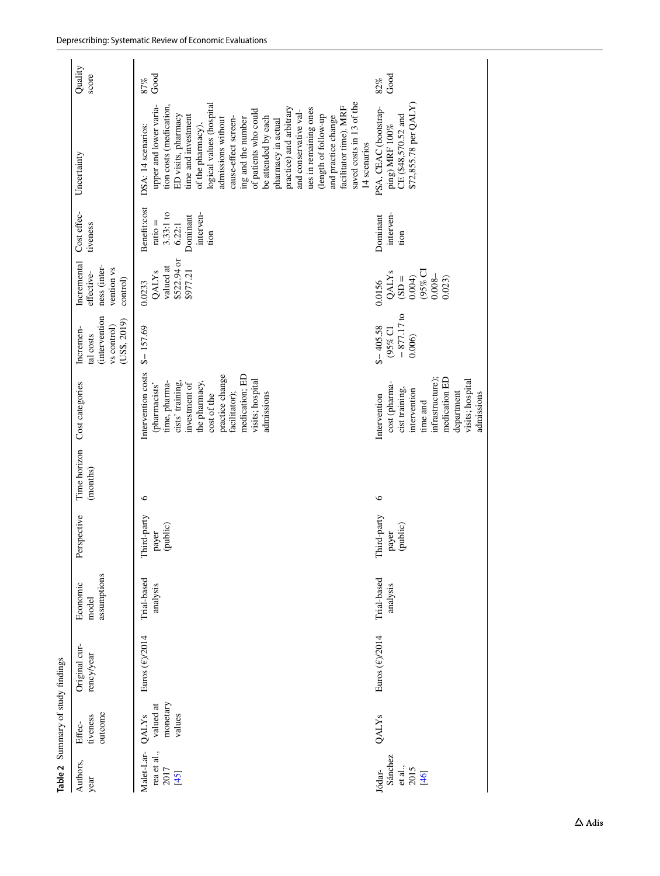<span id="page-12-0"></span>

|                                                | Table 2 Summary of study findings                    |                             |                                  |                                      |                          |                                                                                                                                                                                                                   |                                                                             |                                                                                     |                                                                                     |                                                                                                                                                                                                                                                                                                                                                                                                                                                                                                                    |                  |
|------------------------------------------------|------------------------------------------------------|-----------------------------|----------------------------------|--------------------------------------|--------------------------|-------------------------------------------------------------------------------------------------------------------------------------------------------------------------------------------------------------------|-----------------------------------------------------------------------------|-------------------------------------------------------------------------------------|-------------------------------------------------------------------------------------|--------------------------------------------------------------------------------------------------------------------------------------------------------------------------------------------------------------------------------------------------------------------------------------------------------------------------------------------------------------------------------------------------------------------------------------------------------------------------------------------------------------------|------------------|
| Authors,<br>year                               | outcome<br>tiveness<br>Effec-                        | Original cur-<br>rency/year | assumptions<br>Economic<br>model | Perspective                          | Time horizon<br>(months) | Cost categories                                                                                                                                                                                                   | <i>ditervention</i><br>(USS, 2019)<br>vs control)<br>Incremen-<br>tal costs | Incremental<br>ness (inter-<br>vention vs<br>effective-<br>control)                 | Cost effec-<br>tiveness                                                             | Uncertainty                                                                                                                                                                                                                                                                                                                                                                                                                                                                                                        | Quality<br>score |
| Malet-Lar-<br>rea et al.,<br>2017<br>[45]      | monetary<br>valued at<br>values<br>QALY <sub>s</sub> | Euros (€)/2014              | Trial-based<br>analysis          | hird-party<br>(public)<br>payer<br>F | $\circ$                  | Intervention costs<br>practice change<br>medication; ED<br>visits; hospital<br>time, pharma-<br>cists' training,<br>the pharmacy,<br>investment of<br>(pharmacists'<br>facilitator);<br>admissions<br>cost of the | $$ - 157.69$                                                                | \$522.94 or<br>valued at<br>\$977.21<br>QALY <sub>s</sub><br>0.0233                 | Benefit:cost<br>$3.33:1$ to<br>6.22:1<br>interven-<br>Dominant<br>$ratio =$<br>tion | saved costs in 13 of the<br>logical values (hospital<br>upper and lower varia-<br>tion costs (medication,<br>facilitator time). MRF<br>practice) and arbitrary<br>ues in remaining ones<br>of patients who could<br>and conservative val-<br>ED visits, pharmacy<br>(length of follow-up<br>and practice change<br>time and investment<br>be attended by each<br>cause-effect screen-<br>ing and the number<br>pharmacy in actual<br>admissions without<br>of the pharmacy),<br>DSA: 14 scenarios:<br>14 scenarios | Good<br>87%      |
| Sánchez<br>et al.,<br>2015<br>Jódar-<br>$[46]$ | QALY <sub>s</sub>                                    | Euros (€)/2014              | Trial-based<br>analysis          | Third-party<br>(public)<br>payer     | $\circ$                  | infrastructure);<br>medication ED<br>visits; hospital<br>cost (pharma-<br>cist training,<br>intervention<br>department<br>admissions<br>Intervention<br>time and                                                  | $-877.17$ to<br>$$-405.58$<br>(95% CI<br>0.006                              | (95% CI<br>QALY <sub>s</sub><br>$0.008 -$<br>0.004)<br>$=$ C(S)<br>0.023)<br>0.0156 | interven-<br>Dominant<br>tion                                                       | \$72,855.78 per QALY)<br>PSA, CEAC (bootstrap-<br>CE (\$48,570.52 and<br>ping) MRF $100\%$                                                                                                                                                                                                                                                                                                                                                                                                                         | Good<br>82%      |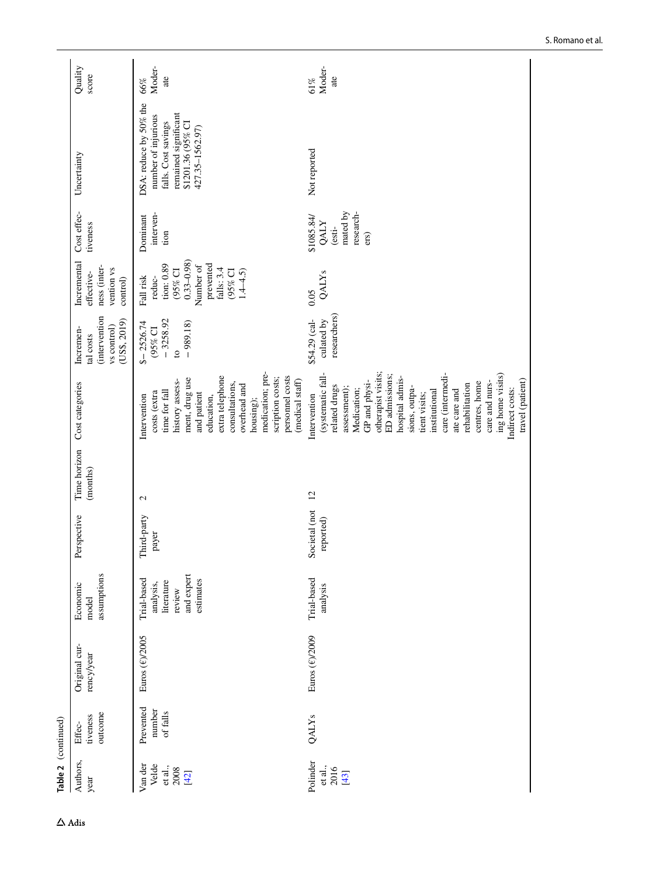| Table 2 (continued)                           |                                 |                             |                                                                             |                            |                          |                                                                                                                                                                                                                                                                                                                                                                      |                                                                        |                                                                                                                                 |                                                                      |                                                                                                                                      |                      |
|-----------------------------------------------|---------------------------------|-----------------------------|-----------------------------------------------------------------------------|----------------------------|--------------------------|----------------------------------------------------------------------------------------------------------------------------------------------------------------------------------------------------------------------------------------------------------------------------------------------------------------------------------------------------------------------|------------------------------------------------------------------------|---------------------------------------------------------------------------------------------------------------------------------|----------------------------------------------------------------------|--------------------------------------------------------------------------------------------------------------------------------------|----------------------|
| Authors,<br>year                              | outcome<br>tiveness<br>Effec-   | Original cur-<br>rency/year | assumptions<br>Economic<br>model                                            | Perspective                | Time horizon<br>(months) | Cost categories                                                                                                                                                                                                                                                                                                                                                      | (intervention<br>(US\$, 2019)<br>vs control)<br>Incremen-<br>tal costs | Incremental<br>ness (inter-<br>vention vs<br>effective-<br>control)                                                             | Cost effec-<br>tiveness                                              | Uncertainty                                                                                                                          | Quality<br>score     |
| Van der<br>Velde<br>et al.,<br>2008<br>$[42]$ | Prevented<br>number<br>of falls | Euros (€)/2005              | and expert<br>Trial-based<br>estimates<br>literature<br>analysis,<br>review | Third-party<br>payer       | $\mathbf{c}$             | medication; pre-<br>extra telephone<br>personnel costs<br>scription costs;<br>ment, drug use<br>(medical staff)<br>history assess-<br>consultations,<br>overhead and<br>time for fall<br>costs (extra<br>and patient<br>Intervention<br>education,<br>housing);                                                                                                      | $-3258.92$<br>$$-2526.74$<br>$-989.18$<br>(95% CI<br>$\mathbf{c}$      | $0.33 - 0.98$<br>prevented<br>tion: 0.89<br>Number of<br>falls: 3.4<br>(95% CI<br>(95% CI<br>$1.4 - 4.5$<br>Fall risk<br>reduc- | interven-<br>Dominant<br>tion                                        | DSA: reduce by 50% the<br>remained significant<br>number of injurious<br>falls. Cost savings<br>\$1201.36 (95% CI<br>427.35-1562.97) | Moder-<br>ate<br>66% |
| Polinder<br>et al.,<br>2016<br>[43]           | QALY <sub>s</sub>               | Euros (€)/2009              | Trial-based<br>analysis                                                     | Societal (not<br>reported) | $\overline{c}$           | otherapist visits;<br>(systematic fall-<br>care (intermedi-<br>ing home visits)<br>ED admissions;<br>hospital admis-<br>travel (patient)<br>GP and physi-<br>centres, home<br>care and nurs-<br>rehabilitation<br>related drugs<br>sions, outpa-<br>assessment);<br>Medication;<br>ate care and<br>Indirect costs:<br>institutional<br>tient visits;<br>Intervention | researchers)<br>\$54.29 (cal-<br>culated by                            | QALY <sub>s</sub><br>0.05                                                                                                       | research-<br>mated by<br>\$1085.84/<br><b>QALY</b><br>(esti-<br>ers) | Not reported                                                                                                                         | Moder-<br>ate<br>61% |
|                                               |                                 |                             |                                                                             |                            |                          |                                                                                                                                                                                                                                                                                                                                                                      |                                                                        |                                                                                                                                 |                                                                      |                                                                                                                                      |                      |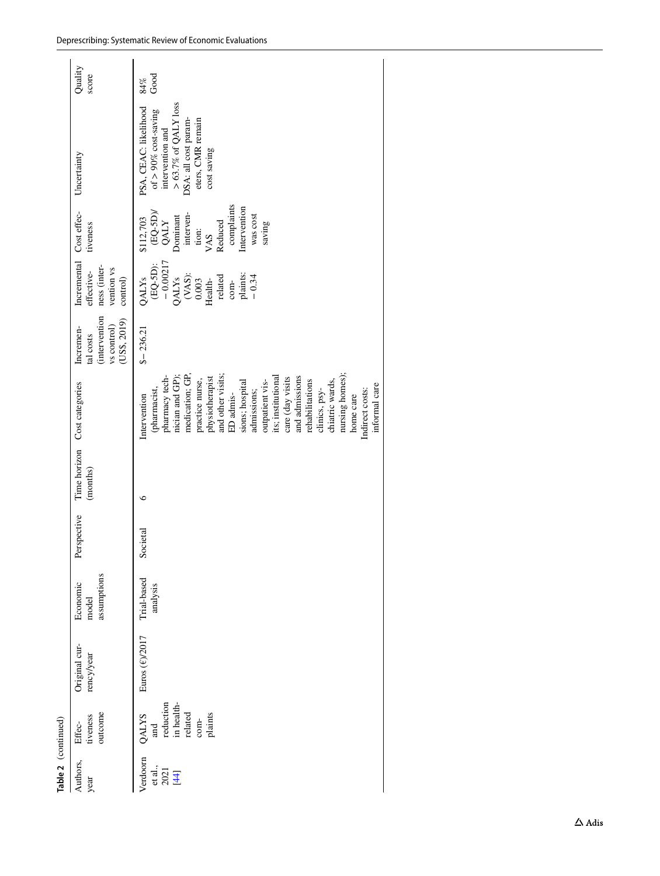| Table 2 (continued)                 |                                                                         |                             |                                  |             |          |                                                                                                                                                                                                                                                                                                                                                                                                         |                                                                              |                                                                                                                                                               |                                                                                                                                                           |                                                                                                                                                            |                      |
|-------------------------------------|-------------------------------------------------------------------------|-----------------------------|----------------------------------|-------------|----------|---------------------------------------------------------------------------------------------------------------------------------------------------------------------------------------------------------------------------------------------------------------------------------------------------------------------------------------------------------------------------------------------------------|------------------------------------------------------------------------------|---------------------------------------------------------------------------------------------------------------------------------------------------------------|-----------------------------------------------------------------------------------------------------------------------------------------------------------|------------------------------------------------------------------------------------------------------------------------------------------------------------|----------------------|
| Authors,<br>year                    | outcome<br>tiveness<br>Effec-                                           | Original cur-<br>rency/year | assumptions<br>Economic<br>model | Perspective | (months) | Time horizon Cost categories                                                                                                                                                                                                                                                                                                                                                                            | <i>(intervention</i><br>(USS, 2019)<br>vs control)<br>Incremen-<br>tal costs | Incremental<br>ness (inter-<br>vention vs<br>effective-<br>control)                                                                                           | Cost effec-<br>tiveness                                                                                                                                   | Uncertainty                                                                                                                                                | Quality<br>score     |
| Verdoorn<br>et al.,<br>2021<br>[44] | reduction<br>in health-<br>related<br>plaints<br>QALYS<br>$com-$<br>and | Euros (€)/2017              | Trial-based<br>analysis          | Societal    | ७        | medication; GP,<br>nursing homes)<br>and other visits;<br>pharmacy tech-<br>nician and GP);<br>and admissions<br>physiotherapist<br>its; institutional<br>care (day visits<br>practice nurse,<br>rehabilitations<br>outpatient vis-<br>chiatric wards,<br>sions; hospital<br>informal care<br>(pharmacist,<br>Indirect costs:<br>admissions;<br>clinics, psy-<br>ED admis-<br>home care<br>Intervention | $$-236.21$                                                                   | $-0.00217$<br>$(EQ-5D)$ :<br>$(XAS):$<br>$0.003$<br>Health-<br>plaints:<br><b>QALY<sub>s</sub></b><br>related<br><b>QALY<sub>s</sub></b><br>$-0.34$<br>$com-$ | complaints<br>Intervention<br>$\frac{\text{(EQ-5D)}}{\text{QALY}}$<br>interven-<br>was cost<br>Dominant<br>\$112,703<br>Reduced<br>saving<br>tion:<br>VAS | $>63.7\%$ of QALY loss<br>PSA, CEAC: likelihood<br>of $> 90\%$ cost-saving<br>eters, CMR remain<br>DSA: all cost param-<br>intervention and<br>cost saving | $_{\rm Good}$<br>84% |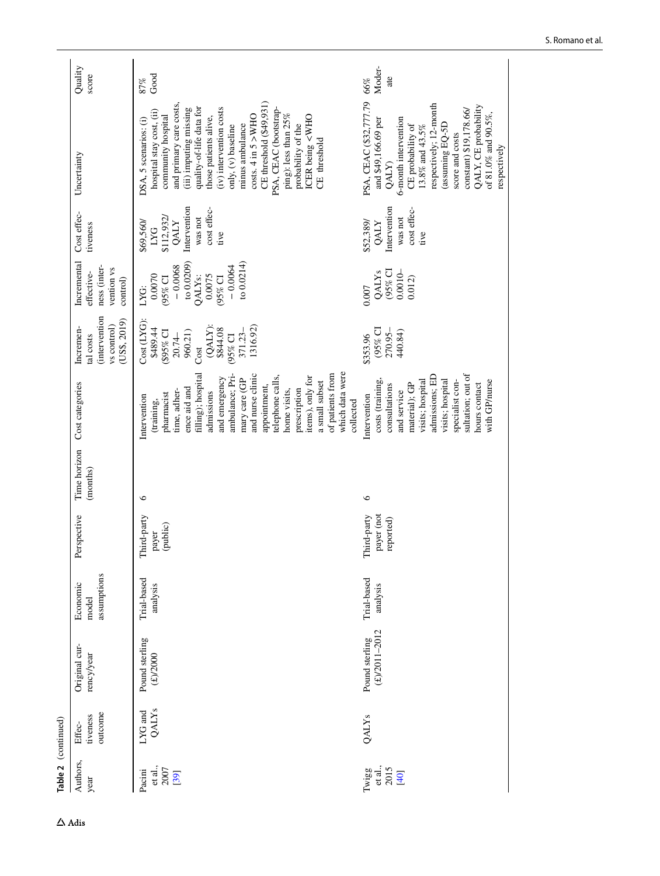| Table 2 (continued)               |                               |                                     |                                  |                                        |                          |                                                                                                                                                                                                                                                                                                                                                     |                                                                                                                                |                                                                                                                             |                                                                                                 |                                                                                                                                                                                                                                                                                                                                                                                                                                      |                      |
|-----------------------------------|-------------------------------|-------------------------------------|----------------------------------|----------------------------------------|--------------------------|-----------------------------------------------------------------------------------------------------------------------------------------------------------------------------------------------------------------------------------------------------------------------------------------------------------------------------------------------------|--------------------------------------------------------------------------------------------------------------------------------|-----------------------------------------------------------------------------------------------------------------------------|-------------------------------------------------------------------------------------------------|--------------------------------------------------------------------------------------------------------------------------------------------------------------------------------------------------------------------------------------------------------------------------------------------------------------------------------------------------------------------------------------------------------------------------------------|----------------------|
| Authors,<br>year                  | outcome<br>tiveness<br>Effec- | Original cur-<br>rency/year         | assumptions<br>Economic<br>model | Perspective                            | Time horizon<br>(months) | Cost categories                                                                                                                                                                                                                                                                                                                                     | (intervention<br>(US\$, 2019)<br>vs control)<br>Incremen-<br>tal costs                                                         | Incremental<br>ness (inter-<br>vention vs<br>effective-<br>control)                                                         | Cost effec-<br>tiveness                                                                         | Uncertainty                                                                                                                                                                                                                                                                                                                                                                                                                          | Quality<br>score     |
| et al.,<br>2007<br>Pacini<br>[39] | QALY <sub>s</sub><br>LYG and  | Pound sterling<br>$(\pounds)$ /2000 | Trial-based<br>analysis          | Third-party<br>(public)<br>payer       | ७                        | which data were<br>of patients from<br>ambulance; Pri-<br>and nurse clinic<br>filling); hospital<br>telephone calls,<br>items), only for<br>and emergency<br>mary care (GP<br>a small subset<br>appointment,<br>ence aid and<br>prescription<br>time, adher-<br>home visits,<br>admissions<br>pharmacist<br>Intervention<br>(training,<br>collected | Cost (LYG)<br>$(QALY)$ :<br>1316.92)<br>\$489.44<br>\$844.08<br>371.23-<br>(\$95% CI<br>960.21)<br>$20.74-$<br>(95% CI<br>Cost | to 0.0209<br>to 0.0214<br>$-0.0064$<br>$-0.0068$<br>0.0070<br>0.0075<br>(95% CI<br>QALY <sub>s:</sub><br>$(95\%$ CI<br>LYG: | Intervention<br>cost effec-<br>\$112,932/<br>was not<br>\$69,560/<br><b>QALY</b><br>LYG<br>tive | CE threshold (\$49,931)<br>and primary care costs,<br>quality-of-life data for<br>(iii) imputing missing<br>$(iv)$ intervention costs<br>PSA, CEAC (bootstrap-<br>hospital stay cost, (ii)<br>ping): less than $25\%$<br>costs. 4 in 5 > WHO<br>community hospital<br>ICER being <who<br>those patients alive,<br/>DSA, 5 scenarios: (i)<br/>minus ambulance<br/>probability of the<br/>only, (v) baseline<br/>CE threshold</who<br> | Good<br>87%          |
| et al.,<br>2015<br>Twigg<br>[40]  | QALY <sub>s</sub>             | $(E)/2011 - 2012$<br>Pound sterling | Trial-based<br>analysis          | payer (not<br>Third-party<br>reported) | 6                        | sultation; out of<br>admissions; ED<br>visits; hospital<br>specialist con-<br>with GP/nurse<br>costs (training<br>visits; hospital<br>hours contact<br>material); GP<br>consultations<br>and service<br>Intervention                                                                                                                                | (95% CI<br>270.95-<br>440.84)<br>\$353.96                                                                                      | (95% CI<br>$0.0010 -$<br><b>QALYs</b><br>0.012<br>0.007                                                                     | Intervention<br>cost effec-<br>was not<br>\$52,389/<br><b>QALY</b><br>tive                      | PSA, CEAC (\$32,777.79<br>respectively; 12-month<br>QALY, CE probability<br>constant) \$19,178.66/<br>of 81.0% and 90.5%,<br>and \$49,166.69 per<br>5-month intervention<br>(assuming EQ-5D<br>CE probability of<br>13.8% and 43.5%<br>score and costs<br>respectively<br>QALY)                                                                                                                                                      | Moder-<br>ate<br>66% |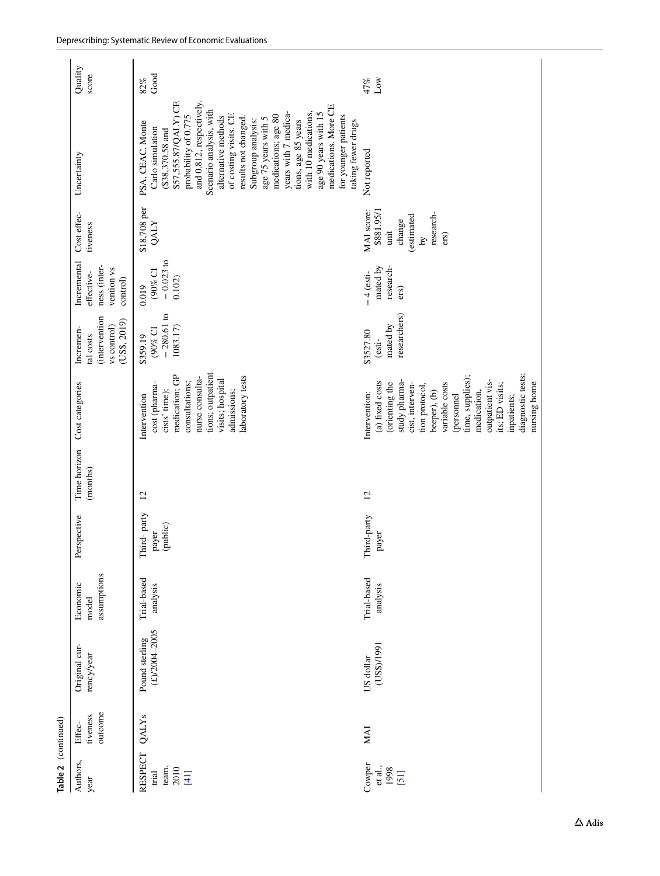| Table 2 (continued)                              |                               |                                     |                                  |                                  |                          |                                                                                                                                                                                                                                                                                       |                                                                              |                                                                     |                                                                                    |                                                                                                                                                                                                                                                                                                                                                                                                                                                                                   |                     |
|--------------------------------------------------|-------------------------------|-------------------------------------|----------------------------------|----------------------------------|--------------------------|---------------------------------------------------------------------------------------------------------------------------------------------------------------------------------------------------------------------------------------------------------------------------------------|------------------------------------------------------------------------------|---------------------------------------------------------------------|------------------------------------------------------------------------------------|-----------------------------------------------------------------------------------------------------------------------------------------------------------------------------------------------------------------------------------------------------------------------------------------------------------------------------------------------------------------------------------------------------------------------------------------------------------------------------------|---------------------|
| Authors,<br>year                                 | outcome<br>tiveness<br>Effec- | Original cur-<br>rency/year         | assumptions<br>Economic<br>model | Perspective                      | Time horizon<br>(months) | Cost categories                                                                                                                                                                                                                                                                       | <i>intervention</i><br>(US\$, 2019)<br>vs control)<br>Incremen-<br>tal costs | Incremental<br>ness (inter-<br>vention vs<br>effective-<br>control) | Cost effec-<br>tiveness                                                            | Uncertainty                                                                                                                                                                                                                                                                                                                                                                                                                                                                       | Quality<br>score    |
| <b>RESPECT</b><br>team,<br>2010<br>trial<br>[41] | QALY <sub>s</sub>             | $(E)/2004 - 2005$<br>Pound sterling | Trial-based<br>analysis          | Third-party<br>(public)<br>payer | $\overline{c}$           | tions; outpatient<br>medication; GP<br>laboratory tests<br>nurse consulta-<br>visits; hospital<br>consultations;<br>cost (pharma-<br>admissions;<br>cists' time);<br>Intervention                                                                                                     | $-280.61$ to<br>1083.17)<br>(90% CI<br>\$359.19                              | $-0.023$ to<br>$(90\%$ CI<br>0.102<br>0.019                         | $$18,708$ per QALY                                                                 | \$57,555.87/QALY) CE<br>and 0.812, respectively.<br>medications. More CE<br>Scenario analysis, with<br>years with 7 medica-<br>with 10 medications,<br>age 90 years with 15<br>of costing visits. CE<br>probability of 0.775<br>medications; age 80<br>for younger patients<br>alternative methods<br>results not changed.<br>age 75 years with 5<br>Subgroup analysis:<br>tions, age 85 years<br>taking fewer drugs<br>PSA, CEAC, Monte<br>Carlo simulation<br>$($38,370.58$ and | Good<br>82%         |
| Cowper<br>et al.,<br>1998<br>[51]                | <b>MAI</b>                    | 1661/\$SQ)<br>US dollar             | Trial-based<br>analysis          | Third-party<br>payer             | 12                       | diagnostic tests;<br>time, supplies);<br>study pharma-<br>outpatient vis-<br>(a) fixed costs<br>nursing home<br>variable costs<br>(orienting the<br>its; ED visits;<br>cist, interven-<br>tion protocol,<br>beeper), (b)<br>medication,<br>Intervention:<br>(personnel<br>inpatients; | researchers)<br>mated by<br>\$3527.80<br>(esti-                              | mated by<br>research-<br>$-4$ (esti-<br>ers)                        | MAI score:<br>\$881.95/1<br>research-<br>estimated<br>change<br>unit<br>ers)<br>ΣÁ | Not reported                                                                                                                                                                                                                                                                                                                                                                                                                                                                      | 47%<br>$_{\rm Low}$ |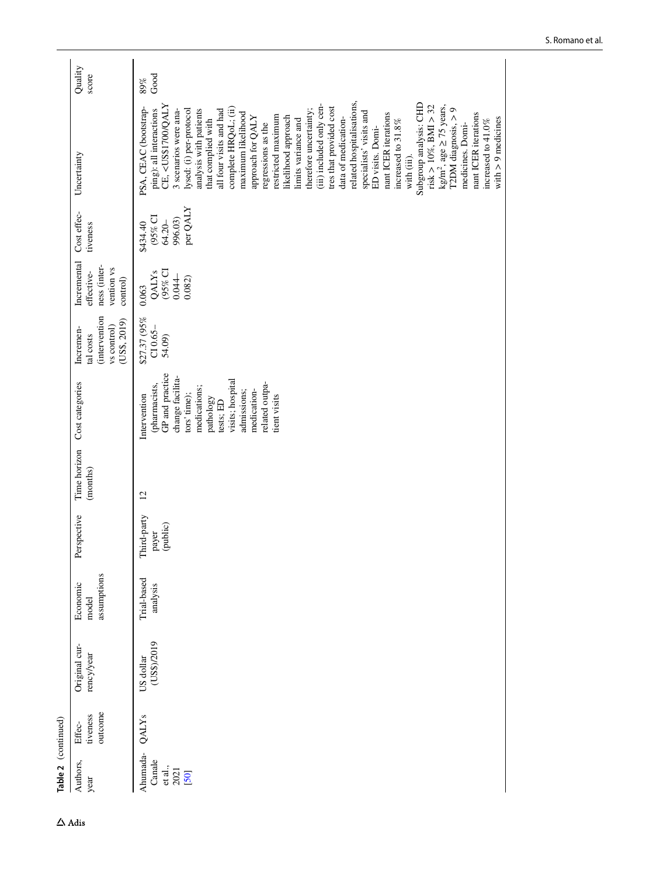| Table 2 (continued)                           |                               |                             |                                  |                                  |                          |                                                                                                                                                                                                                    |                                                                        |                                                                     |                                                         |                                                                                                                                                                                                                                                                                                                                                                                                                                                                                                                                                                                                                                                                                                                                                                                                                                                                                                                                                                                                                       |                  |
|-----------------------------------------------|-------------------------------|-----------------------------|----------------------------------|----------------------------------|--------------------------|--------------------------------------------------------------------------------------------------------------------------------------------------------------------------------------------------------------------|------------------------------------------------------------------------|---------------------------------------------------------------------|---------------------------------------------------------|-----------------------------------------------------------------------------------------------------------------------------------------------------------------------------------------------------------------------------------------------------------------------------------------------------------------------------------------------------------------------------------------------------------------------------------------------------------------------------------------------------------------------------------------------------------------------------------------------------------------------------------------------------------------------------------------------------------------------------------------------------------------------------------------------------------------------------------------------------------------------------------------------------------------------------------------------------------------------------------------------------------------------|------------------|
| Authors,<br>year                              | outcome<br>tiveness<br>Effec- | Original cur-<br>rency/year | assumptions<br>Economic<br>model | Perspective                      | Time horizon<br>(months) | Cost categories                                                                                                                                                                                                    | (intervention<br>(US\$, 2019)<br>vs control)<br>Incremen-<br>tal costs | Incremental<br>ness (inter-<br>vention vs<br>effective-<br>control) | Cost effec-<br>tiveness                                 | Uncertainty                                                                                                                                                                                                                                                                                                                                                                                                                                                                                                                                                                                                                                                                                                                                                                                                                                                                                                                                                                                                           | Quality<br>score |
| Ahumada-<br>Canale<br>et al.,<br>2021<br>[50] | QALY <sub>s</sub>             | (US\$)/2019<br>US dollar    | Trial-based<br>analysis          | Third-party<br>(public)<br>payer | $\overline{c}$           | GP and practice<br>change facilita-<br>visits; hospital<br>related outpa-<br>(pharmacists,<br>medications;<br>medication-<br>admissions;<br>tors' time);<br>Intervention<br>tient visits<br>pathology<br>tests; ED | \$27.37 (95%<br>$C10.65-$<br>54.09)                                    | (95% CI<br>QALY <sub>s</sub><br>$0.044 -$<br>0.082)<br>0.063        | per QALY<br>$(95\%$ CI<br>996.03)<br>64.20-<br>\$434.40 | related hospitalisations,<br>Subgroup analysis: CHD<br>CE, <us\$1700 qaly<br="">(iii) included only cen-<br/>risk<math display="inline">&gt;10\%</math>, BMI <math display="inline">&gt;32</math><br/><math>kg/m2</math>, age <math>\geq</math> 75 years,<br/>tres that provided cost<br/>PSA, CEAC (bootstrap-<br/>complete HRQoL; (ii)<br/>therefore uncertainty;<br/>T2DM diagnosis, <math>&gt; 9</math><br/>ping): all interactions<br/>all four visits and had<br/>lysed: (i) per-protocol<br/>analysis with patients<br/>3 scenarios were ana-<br/>specialists' visits and<br/>maximum likelihood<br/>nant ICER iterations<br/>nant ICER iterations<br/>restricted maximum<br/>likelihood approach<br/>approach for QALY<br/>data of medication-<br/>with <math>&gt; 9</math> medicines<br/>that complied with<br/>limits variance and<br/>increased to 41.0%<br/>increased to <math display="inline">31.8\%</math><br/>regressions as the<br/>medicines. Domi-<br/>ED visits. Domi-<br/>with (iii).</us\$1700> | Good<br>89%      |
|                                               |                               |                             |                                  |                                  |                          |                                                                                                                                                                                                                    |                                                                        |                                                                     |                                                         |                                                                                                                                                                                                                                                                                                                                                                                                                                                                                                                                                                                                                                                                                                                                                                                                                                                                                                                                                                                                                       |                  |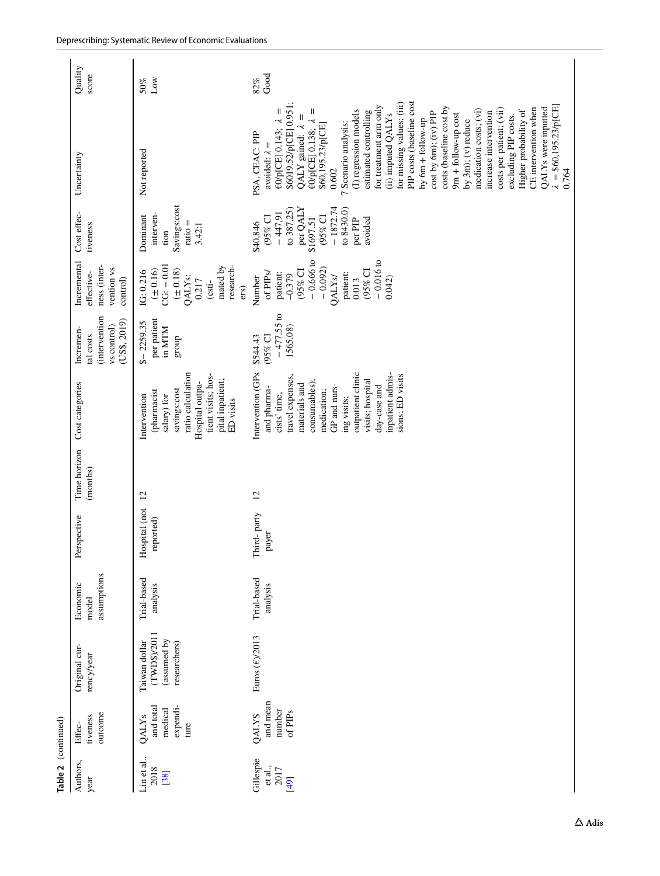|                     | Quality<br>score                                                            | Low<br>50%                                                                                                                                                | Good<br>82%                                                                                                                                                                                                                                                                                                                                                                                                                                                                                                                                                                                                                                                                                                                         |
|---------------------|-----------------------------------------------------------------------------|-----------------------------------------------------------------------------------------------------------------------------------------------------------|-------------------------------------------------------------------------------------------------------------------------------------------------------------------------------------------------------------------------------------------------------------------------------------------------------------------------------------------------------------------------------------------------------------------------------------------------------------------------------------------------------------------------------------------------------------------------------------------------------------------------------------------------------------------------------------------------------------------------------------|
|                     | Uncertainty                                                                 | Not reported                                                                                                                                              | PIP costs (baseline cost<br>for missing values; (iii)<br>\$6019.52/p[CE] 0.951;<br>$= $60,195.23/p[CE]$<br>for treatment arm only<br>costs (baseline cost by<br>QALYs were inputted<br>CE intervention when<br>$\mathsf{II}$<br>costs per patient; (vii)<br>Ш<br>(I) regression models<br>medication costs; (vi)<br>Higher probability of<br>estimated controlling<br>cost by 6m); (iv) PIP<br>increase intervention<br>$9m + 6$ llow-up cost<br>(ii) imputed QALYs<br>excluding PIP costs.<br>QALY gained: $\lambda$ =<br>by $6m + 60$ low-up<br>by $3m$ ; $(v)$ reduce<br>€0/p[CE] 0.143; $\lambda$<br>€0/р[СЕ] 0.138; 2<br>7 Scenario analysis:<br>\$60,195.23/p[CE]<br>PSA, CEAC: PIP<br>avoided: $\lambda =$<br>0.602<br>0.764 |
|                     | Cost effec-<br>tiveness                                                     | Savings:cost<br>interven-<br>Dominant<br>$ratio =$<br>3.42:1<br>tion                                                                                      | $-1872.74$<br>per QALY<br>to 8430.0)<br>to 387,25)<br>$-447,91$<br>(95% CI<br>$(95\%$ CI<br>\$1697.51<br>avoided<br>per PIP<br>\$40,846                                                                                                                                                                                                                                                                                                                                                                                                                                                                                                                                                                                             |
|                     | Incremental<br>ness (inter-<br>vention vs<br>effective-<br>control)         | $CG: -0.01$<br>mated by<br>research-<br>$(\pm\,0.16)$<br>$(\pm 0.18)$<br>IG: 0.216<br><b>QALYs:</b><br>0.217<br>(esti-<br>ers)                            | $-0.666$ to<br>$-0.016$ to<br>$-0.092$<br>(95% CI<br>$(95\%$ CI<br>of PIPs/<br>patient:<br>patient:<br>$-0.379$<br>Number<br><b>OALYS</b><br>0.042)<br>0.013                                                                                                                                                                                                                                                                                                                                                                                                                                                                                                                                                                        |
|                     | <i>intervention</i><br>(USS, 2019)<br>vs control)<br>Incremen-<br>tal costs | per patient<br>$$-2259.35$<br>in MTM<br>group                                                                                                             | $-477.55$ to<br>1565.08)<br>$(95%$ CI<br>\$544.43                                                                                                                                                                                                                                                                                                                                                                                                                                                                                                                                                                                                                                                                                   |
|                     | Cost categories                                                             | ratio calculation<br>tient visits; hos-<br>pital inpatient;<br>Hospital outpa-<br>savings:cost<br>(pharmacist<br>salary) for<br>Intervention<br>ED visits | Intervention (GPs<br>outpatient clinic<br>inpatient admis-<br>sions; ED visits<br>travel expenses,<br>consumables);<br>visits; hospital<br>materials and<br>day-case and<br>GP and nurs-<br>and pharma-<br>medication;<br>cists' time,<br>ing visits;                                                                                                                                                                                                                                                                                                                                                                                                                                                                               |
|                     | Time horizon<br>(months)                                                    | $\overline{c}$                                                                                                                                            | 12                                                                                                                                                                                                                                                                                                                                                                                                                                                                                                                                                                                                                                                                                                                                  |
|                     | Perspective                                                                 | Hospital (not<br>reported)                                                                                                                                | Third-party<br>payer                                                                                                                                                                                                                                                                                                                                                                                                                                                                                                                                                                                                                                                                                                                |
|                     | assumptions<br>Economic<br>model                                            | Trial-based<br>analysis                                                                                                                                   | Trial-based<br>analysis                                                                                                                                                                                                                                                                                                                                                                                                                                                                                                                                                                                                                                                                                                             |
|                     | Original cur-<br>rency/year                                                 | (TWD\$)/201<br>(assumed by<br>Taiwan dollar<br>researchers)                                                                                               | Euros ( $\varepsilon$ )/2013                                                                                                                                                                                                                                                                                                                                                                                                                                                                                                                                                                                                                                                                                                        |
|                     | outcome<br>tiveness<br>Effec-                                               | expendi-<br>and total<br>medical<br>QALY <sub>s</sub><br>ture                                                                                             | and mean<br>number<br>of PIP <sub>s</sub><br>QALYS                                                                                                                                                                                                                                                                                                                                                                                                                                                                                                                                                                                                                                                                                  |
| Table 2 (continued) | Authors,<br>year                                                            | Lin et al.,<br>2018<br>[38]                                                                                                                               | Gillespie<br>et al.,<br>2017<br>[49]                                                                                                                                                                                                                                                                                                                                                                                                                                                                                                                                                                                                                                                                                                |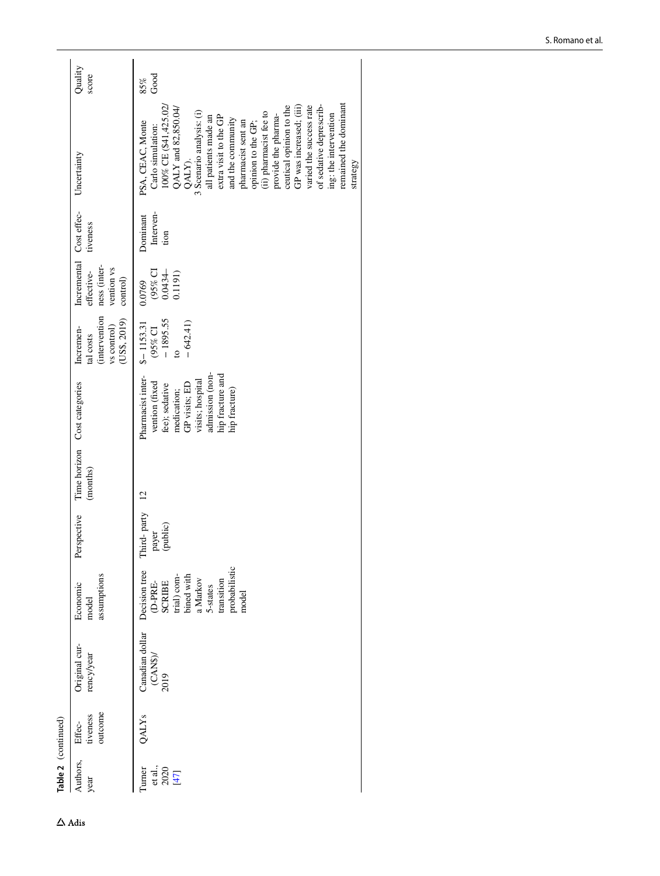| Table 2 (continued) |                                  |                                                                                                                                 |                                  |                |                                                                                                                                                                   |                                                                              |                                                                                 |                               |                                                                                                                                                                                                                                                                                                                                                                                                                                                                          |                  |
|---------------------|----------------------------------|---------------------------------------------------------------------------------------------------------------------------------|----------------------------------|----------------|-------------------------------------------------------------------------------------------------------------------------------------------------------------------|------------------------------------------------------------------------------|---------------------------------------------------------------------------------|-------------------------------|--------------------------------------------------------------------------------------------------------------------------------------------------------------------------------------------------------------------------------------------------------------------------------------------------------------------------------------------------------------------------------------------------------------------------------------------------------------------------|------------------|
|                     | Original cur-<br>rency/year      | assumptions<br>Economic<br>model                                                                                                | Perspective                      | (months)       | Time horizon Cost categories                                                                                                                                      | <i>(intervention</i><br>(USS, 2019)<br>vs control)<br>Incremen-<br>tal costs | Incremental Cost effec-<br>ness (inter-<br>vention vs<br>effective-<br>control) | tiveness                      | Uncertainty                                                                                                                                                                                                                                                                                                                                                                                                                                                              | Quality<br>score |
|                     | Canadian dollar<br>(CAN)<br>2019 | probabilistic<br>Decision tree<br>(D-PRE-<br>SCRIBE<br>trial) com-<br>bined with<br>a Markov<br>transition<br>5-states<br>model | Third-party<br>(public)<br>payer | $\overline{c}$ | admission (non-<br>Pharmacist inter-<br>hip fracture and<br>visits; hospital<br>vention (fixed<br>GP visits; ED<br>fee); sedative<br>medication;<br>hip fracture) | $-1895.55$<br>$-642.41)$<br>$$-1153.31$<br>(95% CI<br>$\overline{c}$         | $(95\% \text{ C}1)$<br>0.0434-<br>0.1191)<br>0.0769                             | Interven-<br>Dominant<br>tion | remained the dominant<br>varied the success rate<br>100% CE (\$41,425.02/<br>GP was increased; (iii)<br>of sedative deprescrib-<br>QALY and 82,850.04/<br>ceutical opinion to the<br>3 Scenario analysis: (i)<br>(ii) pharmacist fee to<br>ing: the intervention<br>extra visit to the GP<br>provide the pharma-<br>all patients made an<br>and the community<br>PSA, CEAC, Monte<br>pharmacist sent an<br>opinion to the GP;<br>Carlo simulation:<br>QALY).<br>strategy | Good<br>85%      |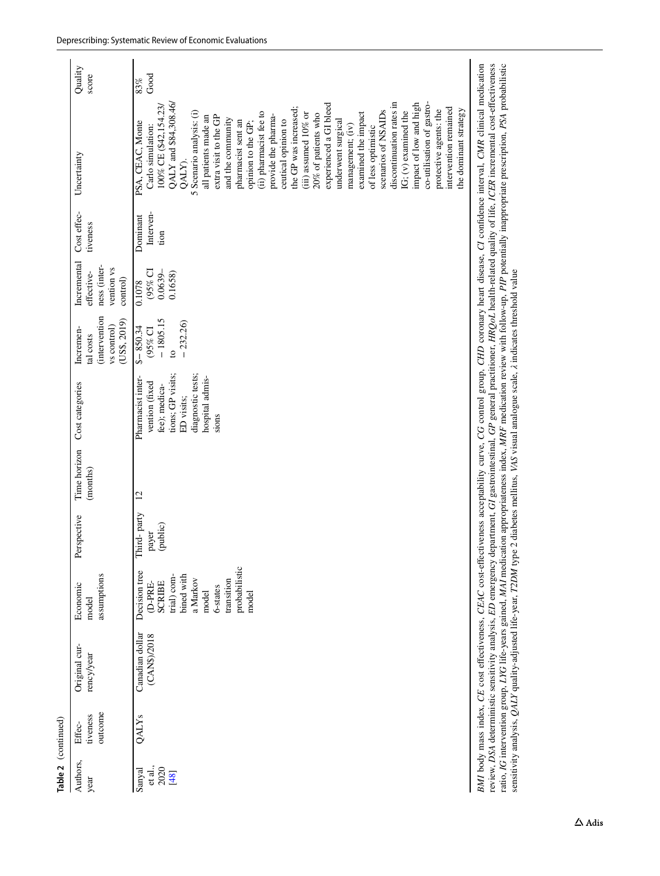| Table 2 (continued)                 |                               |                                                                                                                                              |                                                                                                                                                 |                                      |                          |                                                                                                                                          |                                                                             |                                                                     |                               |                                                                                                                                                                                                                                                                                                                                                                                                                                                                                                                                                                                                                                                                                                                                          |                  |
|-------------------------------------|-------------------------------|----------------------------------------------------------------------------------------------------------------------------------------------|-------------------------------------------------------------------------------------------------------------------------------------------------|--------------------------------------|--------------------------|------------------------------------------------------------------------------------------------------------------------------------------|-----------------------------------------------------------------------------|---------------------------------------------------------------------|-------------------------------|------------------------------------------------------------------------------------------------------------------------------------------------------------------------------------------------------------------------------------------------------------------------------------------------------------------------------------------------------------------------------------------------------------------------------------------------------------------------------------------------------------------------------------------------------------------------------------------------------------------------------------------------------------------------------------------------------------------------------------------|------------------|
| Authors,<br>year                    | outcome<br>tiveness<br>Effec- | Original cur-<br>rency/year                                                                                                                  | assumptions<br>Economic<br>model                                                                                                                | Perspective                          | Time horizon<br>(months) | Cost categories                                                                                                                          | <i>intervention</i><br>(USS, 2019)<br>vs control)<br>Incremen-<br>tal costs | Incremental<br>ness (inter-<br>vention vs<br>effective-<br>control) | Cost effec-<br>tiveness       | Uncertainty                                                                                                                                                                                                                                                                                                                                                                                                                                                                                                                                                                                                                                                                                                                              | Quality<br>score |
| et al.,<br>2020<br>Sanyal<br>$[48]$ | QALY <sub>s</sub>             | Canadian dollar<br>(CAN\$)/2018                                                                                                              | probabilistic<br>Decision tree<br>bined with<br>trial) com-<br>a Markov<br>transition<br><b>SCRIBE</b><br>(D-PRE-<br>6-states<br>model<br>model | hird-party<br>(public)<br>payer<br>⊢ | 12                       | diagnostic tests;<br>tions; GP visits;<br>hospital admis-<br>Pharmacist inter-<br>vention (fixed<br>fee); medica-<br>ED visits;<br>sions | $-1805.15$<br>$-232.26$<br>$$-850.34$<br>$(95%$ CI<br>$\circ$               | $(95\%$ CI<br>$0.0639-$<br>0.1658)<br>0.1078                        | Interven-<br>Dominant<br>tion | QALY and \$84,308.46/<br>discontinuation rates in<br>impact of low and high<br>co-utilisation of gastro-<br>experienced a GI bleed<br>100% CE (\$42,154.23/<br>the GP was increased;<br>intervention remained<br>the dominant strategy<br>protective agents: the<br>scenarios of NSAIDs<br>$IG$ ; $(v)$ examined the<br>(ii) pharmacist fee to<br>5 Scenario analysis: (i)<br>examined the impact<br>$(iii)$ assumed $10\%$ or<br>20% of patients who<br>provide the pharma-<br>all patients made an<br>extra visit to the GP<br>and the community<br>ceutical opinion to<br>underwent surgical<br>pharmacist sent an<br>PSA, CEAC, Monte<br>opinion to the GP;<br>management; (iv)<br>Carlo simulation:<br>of less optimistic<br>QALY). | Good<br>83%      |
|                                     |                               | sensitivity analysis, QALY quality-adjusted life-year, T2DM type 2 diabetes mellitus, VAS visual analogue scale, A indicates threshold value |                                                                                                                                                 |                                      |                          |                                                                                                                                          |                                                                             |                                                                     |                               | BMI body mass index, CE cost effectiveness, CEAC cost-effectiveness acceptability curve, CG control group, CHD coronary heart disease, CI confidence interval, CMR clinical medication<br>review, DSA deterministic sensitivity analysis, ED emergency department, GI gastrointestinal, GP general practitioner, HRQoL health-related quality of life, ICER incremental cost-effectiveness<br>ratio, IG intervention group, LYG life-years gained, MAI medication appropriateness index, MRF medication review with follow-up, PIP potentially inappropriate prescription, PSA probabilistic                                                                                                                                             |                  |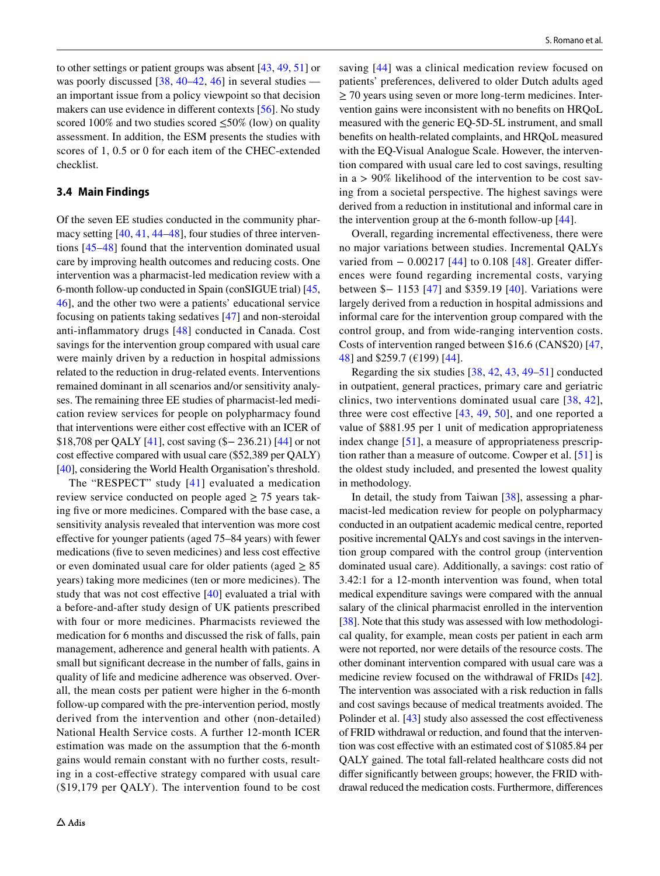to other settings or patient groups was absent [[43,](#page-25-28) [49](#page-26-5), [51](#page-26-0)] or was poorly discussed [[38,](#page-25-22) [40](#page-25-27)[–42](#page-25-25), [46\]](#page-26-2) in several studies – an important issue from a policy viewpoint so that decision makers can use evidence in diferent contexts [\[56](#page-26-16)]. No study scored 100% and two studies scored  $\leq 50\%$  (low) on quality assessment. In addition, the ESM presents the studies with scores of 1, 0.5 or 0 for each item of the CHEC-extended checklist.

### **3.4 Main Findings**

Of the seven EE studies conducted in the community pharmacy setting [[40,](#page-25-27) [41,](#page-25-24) [44](#page-25-26)[–48](#page-26-4)], four studies of three interventions [\[45](#page-26-1)–[48\]](#page-26-4) found that the intervention dominated usual care by improving health outcomes and reducing costs. One intervention was a pharmacist-led medication review with a 6-month follow-up conducted in Spain (conSIGUE trial) [[45,](#page-26-1) [46](#page-26-2)], and the other two were a patients' educational service focusing on patients taking sedatives [[47\]](#page-26-3) and non-steroidal anti-infammatory drugs [\[48\]](#page-26-4) conducted in Canada. Cost savings for the intervention group compared with usual care were mainly driven by a reduction in hospital admissions related to the reduction in drug-related events. Interventions remained dominant in all scenarios and/or sensitivity analyses. The remaining three EE studies of pharmacist-led medication review services for people on polypharmacy found that interventions were either cost efective with an ICER of \$18,708 per QALY [\[41\]](#page-25-24), cost saving (\$− 236.21) [\[44](#page-25-26)] or not cost effective compared with usual care (\$52,389 per QALY) [\[40](#page-25-27)], considering the World Health Organisation's threshold.

The "RESPECT" study [[41\]](#page-25-24) evaluated a medication review service conducted on people aged  $\geq$  75 years taking fve or more medicines. Compared with the base case, a sensitivity analysis revealed that intervention was more cost efective for younger patients (aged 75–84 years) with fewer medications (fve to seven medicines) and less cost efective or even dominated usual care for older patients (aged  $\geq 85$ ) years) taking more medicines (ten or more medicines). The study that was not cost efective [\[40](#page-25-27)] evaluated a trial with a before-and-after study design of UK patients prescribed with four or more medicines. Pharmacists reviewed the medication for 6 months and discussed the risk of falls, pain management, adherence and general health with patients. A small but signifcant decrease in the number of falls, gains in quality of life and medicine adherence was observed. Overall, the mean costs per patient were higher in the 6-month follow-up compared with the pre-intervention period, mostly derived from the intervention and other (non-detailed) National Health Service costs. A further 12-month ICER estimation was made on the assumption that the 6-month gains would remain constant with no further costs, resulting in a cost-efective strategy compared with usual care (\$19,179 per QALY). The intervention found to be cost saving [[44](#page-25-26)] was a clinical medication review focused on patients' preferences, delivered to older Dutch adults aged  $\geq$  70 years using seven or more long-term medicines. Intervention gains were inconsistent with no benefts on HRQoL measured with the generic EQ-5D-5L instrument, and small benefts on health-related complaints, and HRQoL measured with the EQ-Visual Analogue Scale. However, the intervention compared with usual care led to cost savings, resulting in  $a > 90\%$  likelihood of the intervention to be cost saving from a societal perspective. The highest savings were derived from a reduction in institutional and informal care in the intervention group at the 6-month follow-up [[44\]](#page-25-26).

Overall, regarding incremental efectiveness, there were no major variations between studies. Incremental QALYs varied from − 0.00217 [[44](#page-25-26)] to 0.108 [\[48\]](#page-26-4). Greater differences were found regarding incremental costs, varying between \$− 1153 [\[47\]](#page-26-3) and \$359.19 [[40](#page-25-27)]. Variations were largely derived from a reduction in hospital admissions and informal care for the intervention group compared with the control group, and from wide-ranging intervention costs. Costs of intervention ranged between \$16.6 (CAN\$20) [[47,](#page-26-3) [48](#page-26-4)] and \$259.7 (€199) [[44](#page-25-26)].

Regarding the six studies [[38,](#page-25-22) [42,](#page-25-25) [43](#page-25-28), [49–](#page-26-5)[51\]](#page-26-0) conducted in outpatient, general practices, primary care and geriatric clinics, two interventions dominated usual care [[38](#page-25-22), [42](#page-25-25)], three were cost effective  $[43, 49, 50]$  $[43, 49, 50]$  $[43, 49, 50]$  $[43, 49, 50]$  $[43, 49, 50]$  $[43, 49, 50]$ , and one reported a value of \$881.95 per 1 unit of medication appropriateness index change [\[51](#page-26-0)], a measure of appropriateness prescription rather than a measure of outcome. Cowper et al. [[51\]](#page-26-0) is the oldest study included, and presented the lowest quality in methodology.

In detail, the study from Taiwan [[38](#page-25-22)], assessing a pharmacist-led medication review for people on polypharmacy conducted in an outpatient academic medical centre, reported positive incremental QALYs and cost savings in the intervention group compared with the control group (intervention dominated usual care). Additionally, a savings: cost ratio of 3.42:1 for a 12-month intervention was found, when total medical expenditure savings were compared with the annual salary of the clinical pharmacist enrolled in the intervention [\[38](#page-25-22)]. Note that this study was assessed with low methodological quality, for example, mean costs per patient in each arm were not reported, nor were details of the resource costs. The other dominant intervention compared with usual care was a medicine review focused on the withdrawal of FRIDs [\[42](#page-25-25)]. The intervention was associated with a risk reduction in falls and cost savings because of medical treatments avoided. The Polinder et al. [[43\]](#page-25-28) study also assessed the cost effectiveness of FRID withdrawal or reduction, and found that the intervention was cost efective with an estimated cost of \$1085.84 per QALY gained. The total fall-related healthcare costs did not difer signifcantly between groups; however, the FRID withdrawal reduced the medication costs. Furthermore, diferences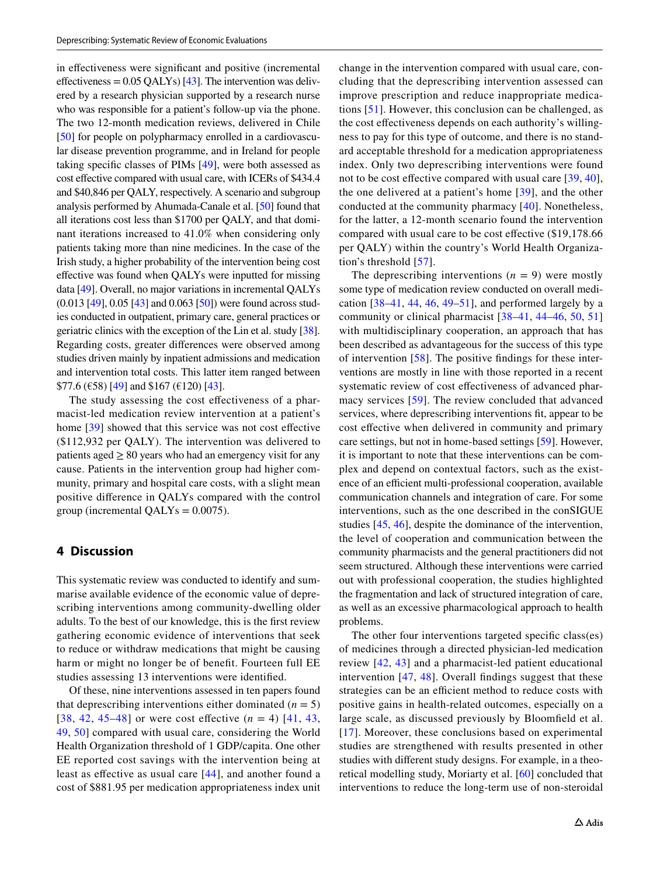in efectiveness were signifcant and positive (incremental effectiveness  $= 0.05 \text{ QALYs}$  [\[43\]](#page-25-28). The intervention was delivered by a research physician supported by a research nurse who was responsible for a patient's follow-up via the phone. The two 12-month medication reviews, delivered in Chile [\[50](#page-26-6)] for people on polypharmacy enrolled in a cardiovascular disease prevention programme, and in Ireland for people taking specifc classes of PIMs [\[49](#page-26-5)], were both assessed as cost effective compared with usual care, with ICERs of \$434.4 and \$40,846 per QALY, respectively. A scenario and subgroup analysis performed by Ahumada-Canale et al. [\[50](#page-26-6)] found that all iterations cost less than \$1700 per QALY, and that dominant iterations increased to 41.0% when considering only patients taking more than nine medicines. In the case of the Irish study, a higher probability of the intervention being cost efective was found when QALYs were inputted for missing data [[49](#page-26-5)]. Overall, no major variations in incremental QALYs  $(0.013 \, [49], 0.05 \, [43]$  $(0.013 \, [49], 0.05 \, [43]$  $(0.013 \, [49], 0.05 \, [43]$  $(0.013 \, [49], 0.05 \, [43]$  $(0.013 \, [49], 0.05 \, [43]$  and  $(0.063 \, [50])$  $(0.063 \, [50])$  $(0.063 \, [50])$  were found across studies conducted in outpatient, primary care, general practices or geriatric clinics with the exception of the Lin et al. study [[38](#page-25-22)]. Regarding costs, greater diferences were observed among studies driven mainly by inpatient admissions and medication and intervention total costs. This latter item ranged between  $$77.6 \, (\text{\textsterling}58) \, [49] \text{ and } $167 \, (\text{\textsterling}120) \, [43]$  $$77.6 \, (\text{\textsterling}58) \, [49] \text{ and } $167 \, (\text{\textsterling}120) \, [43]$  $$77.6 \, (\text{\textsterling}58) \, [49] \text{ and } $167 \, (\text{\textsterling}120) \, [43]$  $$77.6 \, (\text{\textsterling}58) \, [49] \text{ and } $167 \, (\text{\textsterling}120) \, [43]$  $$77.6 \, (\text{\textsterling}58) \, [49] \text{ and } $167 \, (\text{\textsterling}120) \, [43]$ .

The study assessing the cost efectiveness of a pharmacist-led medication review intervention at a patient's home [\[39](#page-25-23)] showed that this service was not cost effective (\$112,932 per QALY). The intervention was delivered to patients aged  $\geq 80$  years who had an emergency visit for any cause. Patients in the intervention group had higher community, primary and hospital care costs, with a slight mean positive diference in QALYs compared with the control group (incremental  $QALY_s = 0.0075$ ).

## **4 Discussion**

This systematic review was conducted to identify and summarise available evidence of the economic value of deprescribing interventions among community-dwelling older adults. To the best of our knowledge, this is the frst review gathering economic evidence of interventions that seek to reduce or withdraw medications that might be causing harm or might no longer be of beneft. Fourteen full EE studies assessing 13 interventions were identifed.

Of these, nine interventions assessed in ten papers found that deprescribing interventions either dominated  $(n = 5)$ [[38](#page-25-22), [42](#page-25-25), [45](#page-26-1)–[48](#page-26-4)] or were cost effective  $(n = 4)$  [[41,](#page-25-24) [43,](#page-25-28) [49](#page-26-5), [50](#page-26-6)] compared with usual care, considering the World Health Organization threshold of 1 GDP/capita. One other EE reported cost savings with the intervention being at least as efective as usual care [[44\]](#page-25-26), and another found a cost of \$881.95 per medication appropriateness index unit change in the intervention compared with usual care, concluding that the deprescribing intervention assessed can improve prescription and reduce inappropriate medications [\[51\]](#page-26-0). However, this conclusion can be challenged, as the cost effectiveness depends on each authority's willingness to pay for this type of outcome, and there is no standard acceptable threshold for a medication appropriateness index. Only two deprescribing interventions were found not to be cost effective compared with usual care [[39](#page-25-23), [40](#page-25-27)], the one delivered at a patient's home [[39](#page-25-23)], and the other conducted at the community pharmacy [\[40\]](#page-25-27). Nonetheless, for the latter, a 12-month scenario found the intervention compared with usual care to be cost efective (\$19,178.66 per QALY) within the country's World Health Organization's threshold [[57](#page-26-17)].

The deprescribing interventions  $(n = 9)$  were mostly some type of medication review conducted on overall medication  $[38-41, 44, 46, 49-51]$  $[38-41, 44, 46, 49-51]$  $[38-41, 44, 46, 49-51]$  $[38-41, 44, 46, 49-51]$  $[38-41, 44, 46, 49-51]$  $[38-41, 44, 46, 49-51]$  $[38-41, 44, 46, 49-51]$  $[38-41, 44, 46, 49-51]$  $[38-41, 44, 46, 49-51]$  $[38-41, 44, 46, 49-51]$  $[38-41, 44, 46, 49-51]$ , and performed largely by a community or clinical pharmacist [\[38–](#page-25-22)[41](#page-25-24), [44–](#page-25-26)[46](#page-26-2), [50](#page-26-6), [51\]](#page-26-0) with multidisciplinary cooperation, an approach that has been described as advantageous for the success of this type of intervention [[58](#page-26-18)]. The positive fndings for these interventions are mostly in line with those reported in a recent systematic review of cost efectiveness of advanced pharmacy services [[59](#page-26-19)]. The review concluded that advanced services, where deprescribing interventions ft, appear to be cost efective when delivered in community and primary care settings, but not in home-based settings [[59\]](#page-26-19). However, it is important to note that these interventions can be complex and depend on contextual factors, such as the existence of an efficient multi-professional cooperation, available communication channels and integration of care. For some interventions, such as the one described in the conSIGUE studies [\[45](#page-26-1), [46](#page-26-2)], despite the dominance of the intervention, the level of cooperation and communication between the community pharmacists and the general practitioners did not seem structured. Although these interventions were carried out with professional cooperation, the studies highlighted the fragmentation and lack of structured integration of care, as well as an excessive pharmacological approach to health problems.

The other four interventions targeted specific class(es) of medicines through a directed physician-led medication review [[42,](#page-25-25) [43](#page-25-28)] and a pharmacist-led patient educational intervention [[47,](#page-26-3) [48\]](#page-26-4). Overall fndings suggest that these strategies can be an efficient method to reduce costs with positive gains in health-related outcomes, especially on a large scale, as discussed previously by Bloomfeld et al. [[17\]](#page-25-2). Moreover, these conclusions based on experimental studies are strengthened with results presented in other studies with diferent study designs. For example, in a theoretical modelling study, Moriarty et al. [[60\]](#page-26-20) concluded that interventions to reduce the long-term use of non-steroidal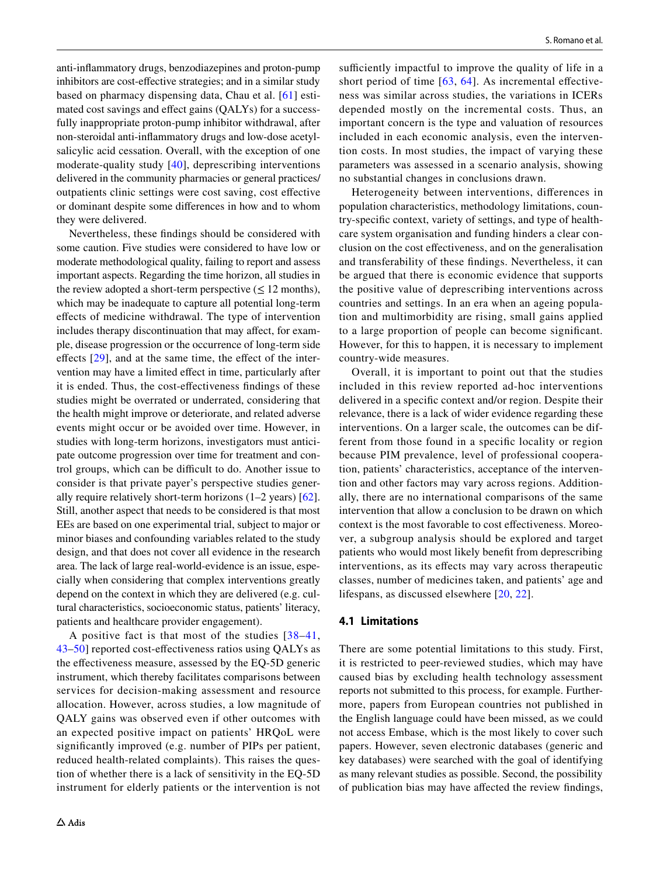anti-infammatory drugs, benzodiazepines and proton-pump inhibitors are cost-efective strategies; and in a similar study based on pharmacy dispensing data, Chau et al. [[61](#page-26-21)] estimated cost savings and efect gains (QALYs) for a successfully inappropriate proton-pump inhibitor withdrawal, after non-steroidal anti-infammatory drugs and low-dose acetylsalicylic acid cessation. Overall, with the exception of one moderate-quality study [[40](#page-25-27)], deprescribing interventions delivered in the community pharmacies or general practices/ outpatients clinic settings were cost saving, cost efective or dominant despite some diferences in how and to whom they were delivered.

Nevertheless, these fndings should be considered with some caution. Five studies were considered to have low or moderate methodological quality, failing to report and assess important aspects. Regarding the time horizon, all studies in the review adopted a short-term perspective  $(\leq 12 \text{ months})$ , which may be inadequate to capture all potential long-term efects of medicine withdrawal. The type of intervention includes therapy discontinuation that may afect, for example, disease progression or the occurrence of long-term side effects [[29\]](#page-25-13), and at the same time, the effect of the intervention may have a limited efect in time, particularly after it is ended. Thus, the cost-efectiveness fndings of these studies might be overrated or underrated, considering that the health might improve or deteriorate, and related adverse events might occur or be avoided over time. However, in studies with long-term horizons, investigators must anticipate outcome progression over time for treatment and control groups, which can be difficult to do. Another issue to consider is that private payer's perspective studies generally require relatively short-term horizons (1–2 years) [\[62](#page-26-22)]. Still, another aspect that needs to be considered is that most EEs are based on one experimental trial, subject to major or minor biases and confounding variables related to the study design, and that does not cover all evidence in the research area. The lack of large real-world-evidence is an issue, especially when considering that complex interventions greatly depend on the context in which they are delivered (e.g. cultural characteristics, socioeconomic status, patients' literacy, patients and healthcare provider engagement).

A positive fact is that most of the studies [[38](#page-25-22)–[41,](#page-25-24) [43](#page-25-28)–[50\]](#page-26-6) reported cost-efectiveness ratios using QALYs as the effectiveness measure, assessed by the EQ-5D generic instrument, which thereby facilitates comparisons between services for decision-making assessment and resource allocation. However, across studies, a low magnitude of QALY gains was observed even if other outcomes with an expected positive impact on patients' HRQoL were signifcantly improved (e.g. number of PIPs per patient, reduced health-related complaints). This raises the question of whether there is a lack of sensitivity in the EQ-5D instrument for elderly patients or the intervention is not

sufficiently impactful to improve the quality of life in a short period of time  $[63, 64]$  $[63, 64]$  $[63, 64]$  $[63, 64]$ . As incremental effectiveness was similar across studies, the variations in ICERs depended mostly on the incremental costs. Thus, an important concern is the type and valuation of resources included in each economic analysis, even the intervention costs. In most studies, the impact of varying these parameters was assessed in a scenario analysis, showing no substantial changes in conclusions drawn.

Heterogeneity between interventions, diferences in population characteristics, methodology limitations, country-specifc context, variety of settings, and type of healthcare system organisation and funding hinders a clear conclusion on the cost efectiveness, and on the generalisation and transferability of these fndings. Nevertheless, it can be argued that there is economic evidence that supports the positive value of deprescribing interventions across countries and settings. In an era when an ageing population and multimorbidity are rising, small gains applied to a large proportion of people can become signifcant. However, for this to happen, it is necessary to implement country-wide measures.

Overall, it is important to point out that the studies included in this review reported ad-hoc interventions delivered in a specifc context and/or region. Despite their relevance, there is a lack of wider evidence regarding these interventions. On a larger scale, the outcomes can be different from those found in a specifc locality or region because PIM prevalence, level of professional cooperation, patients' characteristics, acceptance of the intervention and other factors may vary across regions. Additionally, there are no international comparisons of the same intervention that allow a conclusion to be drawn on which context is the most favorable to cost efectiveness. Moreover, a subgroup analysis should be explored and target patients who would most likely beneft from deprescribing interventions, as its efects may vary across therapeutic classes, number of medicines taken, and patients' age and lifespans, as discussed elsewhere [[20](#page-25-3), [22\]](#page-25-6).

### **4.1 Limitations**

There are some potential limitations to this study. First, it is restricted to peer-reviewed studies, which may have caused bias by excluding health technology assessment reports not submitted to this process, for example. Furthermore, papers from European countries not published in the English language could have been missed, as we could not access Embase, which is the most likely to cover such papers. However, seven electronic databases (generic and key databases) were searched with the goal of identifying as many relevant studies as possible. Second, the possibility of publication bias may have afected the review fndings,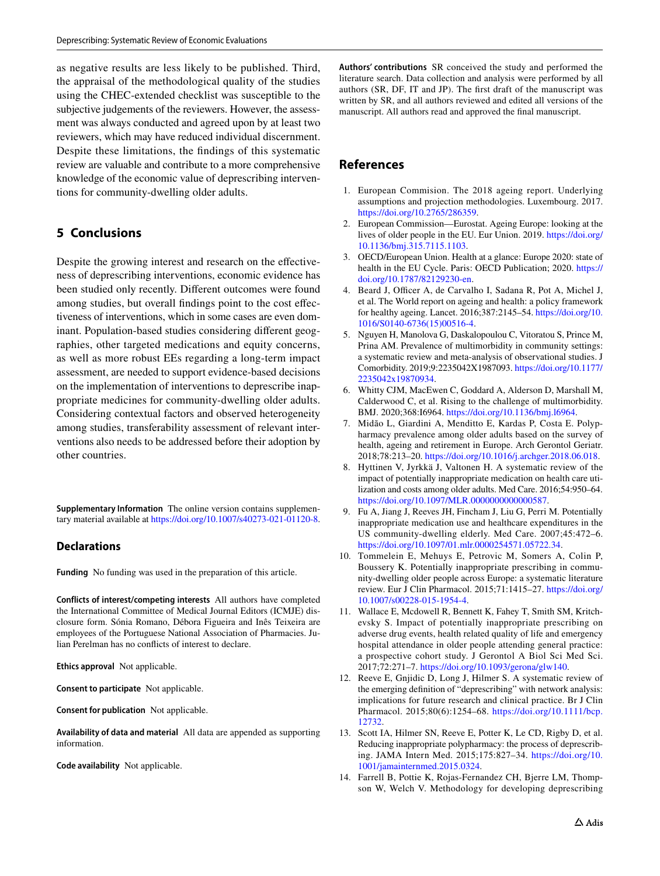as negative results are less likely to be published. Third, the appraisal of the methodological quality of the studies using the CHEC-extended checklist was susceptible to the subjective judgements of the reviewers. However, the assessment was always conducted and agreed upon by at least two reviewers, which may have reduced individual discernment. Despite these limitations, the fndings of this systematic review are valuable and contribute to a more comprehensive knowledge of the economic value of deprescribing interventions for community-dwelling older adults.

# **5 Conclusions**

Despite the growing interest and research on the effectiveness of deprescribing interventions, economic evidence has been studied only recently. Diferent outcomes were found among studies, but overall fndings point to the cost efectiveness of interventions, which in some cases are even dominant. Population-based studies considering diferent geographies, other targeted medications and equity concerns, as well as more robust EEs regarding a long-term impact assessment, are needed to support evidence-based decisions on the implementation of interventions to deprescribe inappropriate medicines for community-dwelling older adults. Considering contextual factors and observed heterogeneity among studies, transferability assessment of relevant interventions also needs to be addressed before their adoption by other countries.

**Supplementary Information** The online version contains supplementary material available at<https://doi.org/10.1007/s40273-021-01120-8>.

### **Declarations**

**Funding** No funding was used in the preparation of this article.

**Conflicts of interest/competing interests** All authors have completed the International Committee of Medical Journal Editors (ICMJE) disclosure form. Sónia Romano, Débora Figueira and Inês Teixeira are employees of the Portuguese National Association of Pharmacies. Julian Perelman has no conficts of interest to declare.

**Ethics approval** Not applicable.

**Consent to participate** Not applicable.

**Consent for publication** Not applicable.

**Availability of data and material** All data are appended as supporting information.

**Code availability** Not applicable.

**Authors' contributions** SR conceived the study and performed the literature search. Data collection and analysis were performed by all authors (SR, DF, IT and JP). The frst draft of the manuscript was written by SR, and all authors reviewed and edited all versions of the manuscript. All authors read and approved the fnal manuscript.

# **References**

- <span id="page-24-0"></span>1. European Commision. The 2018 ageing report. Underlying assumptions and projection methodologies. Luxembourg. 2017. <https://doi.org/10.2765/286359>.
- <span id="page-24-1"></span>2. European Commission—Eurostat. Ageing Europe: looking at the lives of older people in the EU. Eur Union. 2019. [https://doi.org/](https://doi.org/10.1136/bmj.315.7115.1103) [10.1136/bmj.315.7115.1103.](https://doi.org/10.1136/bmj.315.7115.1103)
- 3. OECD/European Union. Health at a glance: Europe 2020: state of health in the EU Cycle. Paris: OECD Publication; 2020. [https://](https://doi.org/10.1787/82129230-en) [doi.org/10.1787/82129230-en.](https://doi.org/10.1787/82129230-en)
- <span id="page-24-2"></span>4. Beard J, Officer A, de Carvalho I, Sadana R, Pot A, Michel J, et al. The World report on ageing and health: a policy framework for healthy ageing. Lancet. 2016;387:2145–54. [https://doi.org/10.](https://doi.org/10.1016/S0140-6736(15)00516-4) [1016/S0140-6736\(15\)00516-4.](https://doi.org/10.1016/S0140-6736(15)00516-4)
- <span id="page-24-3"></span>5. Nguyen H, Manolova G, Daskalopoulou C, Vitoratou S, Prince M, Prina AM. Prevalence of multimorbidity in community settings: a systematic review and meta-analysis of observational studies. J Comorbidity. 2019;9:2235042X1987093. [https://doi.org/10.1177/](https://doi.org/10.1177/2235042x19870934) [2235042x19870934.](https://doi.org/10.1177/2235042x19870934)
- 6. Whitty CJM, MacEwen C, Goddard A, Alderson D, Marshall M, Calderwood C, et al. Rising to the challenge of multimorbidity. BMJ. 2020;368:I6964.<https://doi.org/10.1136/bmj.l6964>.
- <span id="page-24-4"></span>7. Midão L, Giardini A, Menditto E, Kardas P, Costa E. Polypharmacy prevalence among older adults based on the survey of health, ageing and retirement in Europe. Arch Gerontol Geriatr. 2018;78:213–20. [https://doi.org/10.1016/j.archger.2018.06.018.](https://doi.org/10.1016/j.archger.2018.06.018)
- <span id="page-24-5"></span>8. Hyttinen V, Jyrkkä J, Valtonen H. A systematic review of the impact of potentially inappropriate medication on health care utilization and costs among older adults. Med Care. 2016;54:950–64. [https://doi.org/10.1097/MLR.0000000000000587.](https://doi.org/10.1097/MLR.0000000000000587)
- <span id="page-24-6"></span>9. Fu A, Jiang J, Reeves JH, Fincham J, Liu G, Perri M. Potentially inappropriate medication use and healthcare expenditures in the US community-dwelling elderly. Med Care. 2007;45:472–6. <https://doi.org/10.1097/01.mlr.0000254571.05722.34>.
- <span id="page-24-7"></span>10. Tommelein E, Mehuys E, Petrovic M, Somers A, Colin P, Boussery K. Potentially inappropriate prescribing in community-dwelling older people across Europe: a systematic literature review. Eur J Clin Pharmacol. 2015;71:1415–27. [https://doi.org/](https://doi.org/10.1007/s00228-015-1954-4) [10.1007/s00228-015-1954-4](https://doi.org/10.1007/s00228-015-1954-4).
- <span id="page-24-8"></span>11. Wallace E, Mcdowell R, Bennett K, Fahey T, Smith SM, Kritchevsky S. Impact of potentially inappropriate prescribing on adverse drug events, health related quality of life and emergency hospital attendance in older people attending general practice: a prospective cohort study. J Gerontol A Biol Sci Med Sci. 2017;72:271–7. [https://doi.org/10.1093/gerona/glw140.](https://doi.org/10.1093/gerona/glw140)
- <span id="page-24-9"></span>12. Reeve E, Gnjidic D, Long J, Hilmer S. A systematic review of the emerging defnition of "deprescribing" with network analysis: implications for future research and clinical practice. Br J Clin Pharmacol. 2015;80(6):1254–68. [https://doi.org/10.1111/bcp.](https://doi.org/10.1111/bcp.12732) [12732.](https://doi.org/10.1111/bcp.12732)
- <span id="page-24-10"></span>13. Scott IA, Hilmer SN, Reeve E, Potter K, Le CD, Rigby D, et al. Reducing inappropriate polypharmacy: the process of deprescribing. JAMA Intern Med. 2015;175:827–34. [https://doi.org/10.](https://doi.org/10.1001/jamainternmed.2015.0324) [1001/jamainternmed.2015.0324](https://doi.org/10.1001/jamainternmed.2015.0324).
- <span id="page-24-11"></span>14. Farrell B, Pottie K, Rojas-Fernandez CH, Bjerre LM, Thompson W, Welch V. Methodology for developing deprescribing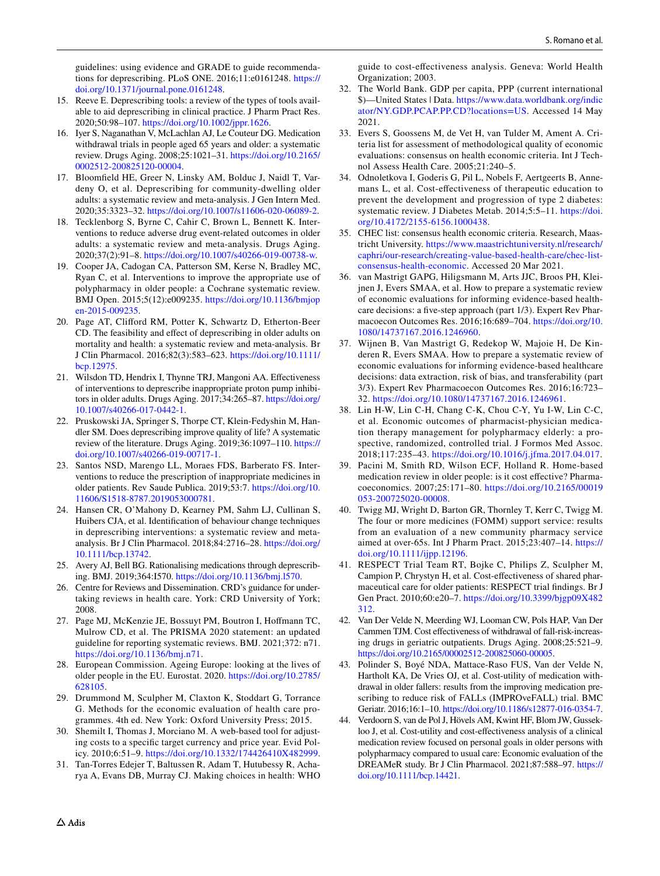guidelines: using evidence and GRADE to guide recommendations for deprescribing. PLoS ONE. 2016;11:e0161248. [https://](https://doi.org/10.1371/journal.pone.0161248) [doi.org/10.1371/journal.pone.0161248.](https://doi.org/10.1371/journal.pone.0161248)

- <span id="page-25-0"></span>15. Reeve E. Deprescribing tools: a review of the types of tools available to aid deprescribing in clinical practice. J Pharm Pract Res. 2020;50:98–107. [https://doi.org/10.1002/jppr.1626.](https://doi.org/10.1002/jppr.1626)
- <span id="page-25-1"></span>16. Iyer S, Naganathan V, McLachlan AJ, Le Couteur DG. Medication withdrawal trials in people aged 65 years and older: a systematic review. Drugs Aging. 2008;25:1021–31. [https://doi.org/10.2165/](https://doi.org/10.2165/0002512-200825120-00004) [0002512-200825120-00004.](https://doi.org/10.2165/0002512-200825120-00004)
- <span id="page-25-2"></span>17. Bloomfeld HE, Greer N, Linsky AM, Bolduc J, Naidl T, Vardeny O, et al. Deprescribing for community-dwelling older adults: a systematic review and meta-analysis. J Gen Intern Med. 2020;35:3323–32. <https://doi.org/10.1007/s11606-020-06089-2>.
- 18. Tecklenborg S, Byrne C, Cahir C, Brown L, Bennett K. Interventions to reduce adverse drug event-related outcomes in older adults: a systematic review and meta-analysis. Drugs Aging. 2020;37(2):91–8. [https://doi.org/10.1007/s40266-019-00738-w.](https://doi.org/10.1007/s40266-019-00738-w)
- <span id="page-25-5"></span>19. Cooper JA, Cadogan CA, Patterson SM, Kerse N, Bradley MC, Ryan C, et al. Interventions to improve the appropriate use of polypharmacy in older people: a Cochrane systematic review. BMJ Open. 2015;5(12):e009235. [https://doi.org/10.1136/bmjop](https://doi.org/10.1136/bmjopen-2015-009235) [en-2015-009235.](https://doi.org/10.1136/bmjopen-2015-009235)
- <span id="page-25-3"></span>20. Page AT, Cliford RM, Potter K, Schwartz D, Etherton-Beer CD. The feasibility and efect of deprescribing in older adults on mortality and health: a systematic review and meta-analysis. Br J Clin Pharmacol. 2016;82(3):583–623. [https://doi.org/10.1111/](https://doi.org/10.1111/bcp.12975) [bcp.12975](https://doi.org/10.1111/bcp.12975).
- <span id="page-25-4"></span>21. Wilsdon TD, Hendrix I, Thynne TRJ, Mangoni AA. Efectiveness of interventions to deprescribe inappropriate proton pump inhibitors in older adults. Drugs Aging. 2017;34:265–87. [https://doi.org/](https://doi.org/10.1007/s40266-017-0442-1) [10.1007/s40266-017-0442-1](https://doi.org/10.1007/s40266-017-0442-1).
- <span id="page-25-6"></span>22. Pruskowski JA, Springer S, Thorpe CT, Klein-Fedyshin M, Handler SM. Does deprescribing improve quality of life? A systematic review of the literature. Drugs Aging. 2019;36:1097–110. [https://](https://doi.org/10.1007/s40266-019-00717-1) [doi.org/10.1007/s40266-019-00717-1](https://doi.org/10.1007/s40266-019-00717-1).
- <span id="page-25-7"></span>23. Santos NSD, Marengo LL, Moraes FDS, Barberato FS. Interventions to reduce the prescription of inappropriate medicines in older patients. Rev Saude Publica. 2019;53:7. [https://doi.org/10.](https://doi.org/10.11606/S1518-8787.2019053000781) [11606/S1518-8787.2019053000781.](https://doi.org/10.11606/S1518-8787.2019053000781)
- <span id="page-25-8"></span>24. Hansen CR, O'Mahony D, Kearney PM, Sahm LJ, Cullinan S, Huibers CJA, et al. Identifcation of behaviour change techniques in deprescribing interventions: a systematic review and metaanalysis. Br J Clin Pharmacol. 2018;84:2716–28. [https://doi.org/](https://doi.org/10.1111/bcp.13742) [10.1111/bcp.13742](https://doi.org/10.1111/bcp.13742).
- <span id="page-25-9"></span>25. Avery AJ, Bell BG. Rationalising medications through deprescribing. BMJ. 2019;364:I570. [https://doi.org/10.1136/bmj.l570.](https://doi.org/10.1136/bmj.l570)
- <span id="page-25-10"></span>26. Centre for Reviews and Dissemination. CRD's guidance for undertaking reviews in health care. York: CRD University of York; 2008.
- <span id="page-25-11"></span>27. Page MJ, McKenzie JE, Bossuyt PM, Boutron I, Hofmann TC, Mulrow CD, et al. The PRISMA 2020 statement: an updated guideline for reporting systematic reviews. BMJ. 2021;372: n71. <https://doi.org/10.1136/bmj.n71>.
- <span id="page-25-12"></span>28. European Commission. Ageing Europe: looking at the lives of older people in the EU. Eurostat. 2020. [https://doi.org/10.2785/](https://doi.org/10.2785/628105) [628105.](https://doi.org/10.2785/628105)
- <span id="page-25-13"></span>29. Drummond M, Sculpher M, Claxton K, Stoddart G, Torrance G. Methods for the economic evaluation of health care programmes. 4th ed. New York: Oxford University Press; 2015.
- <span id="page-25-14"></span>30. Shemilt I, Thomas J, Morciano M. A web-based tool for adjusting costs to a specifc target currency and price year. Evid Policy. 2010;6:51–9.<https://doi.org/10.1332/174426410X482999>.
- <span id="page-25-15"></span>31. Tan-Torres Edejer T, Baltussen R, Adam T, Hutubessy R, Acharya A, Evans DB, Murray CJ. Making choices in health: WHO

guide to cost-efectiveness analysis. Geneva: World Health Organization; 2003.

- <span id="page-25-16"></span>32. The World Bank. GDP per capita, PPP (current international \$)—United States | Data. [https://www.data.worldbank.org/indic](https://www.data.worldbank.org/indicator/NY.GDP.PCAP.PP.CD?locations=US) [ator/NY.GDP.PCAP.PP.CD?locations=US.](https://www.data.worldbank.org/indicator/NY.GDP.PCAP.PP.CD?locations=US) Accessed 14 May 2021.
- <span id="page-25-17"></span>33. Evers S, Goossens M, de Vet H, van Tulder M, Ament A. Criteria list for assessment of methodological quality of economic evaluations: consensus on health economic criteria. Int J Technol Assess Health Care. 2005;21:240–5.
- <span id="page-25-18"></span>34. Odnoletkova I, Goderis G, Pil L, Nobels F, Aertgeerts B, Annemans L, et al. Cost-efectiveness of therapeutic education to prevent the development and progression of type 2 diabetes: systematic review. J Diabetes Metab. 2014;5:5–11. [https://doi.](https://doi.org/10.4172/2155-6156.1000438) [org/10.4172/2155-6156.1000438](https://doi.org/10.4172/2155-6156.1000438).
- <span id="page-25-19"></span>35. CHEC list: consensus health economic criteria. Research, Maastricht University. [https://www.maastrichtuniversity.nl/research/](https://www.maastrichtuniversity.nl/research/caphri/our-research/creating-value-based-health-care/chec-list-consensus-health-economic) [caphri/our-research/creating-value-based-health-care/chec-list](https://www.maastrichtuniversity.nl/research/caphri/our-research/creating-value-based-health-care/chec-list-consensus-health-economic)[consensus-health-economic](https://www.maastrichtuniversity.nl/research/caphri/our-research/creating-value-based-health-care/chec-list-consensus-health-economic). Accessed 20 Mar 2021.
- <span id="page-25-20"></span>36. van Mastrigt GAPG, Hiligsmann M, Arts JJC, Broos PH, Kleijnen J, Evers SMAA, et al. How to prepare a systematic review of economic evaluations for informing evidence-based healthcare decisions: a fve-step approach (part 1/3). Expert Rev Pharmacoecon Outcomes Res. 2016;16:689–704. [https://doi.org/10.](https://doi.org/10.1080/14737167.2016.1246960) [1080/14737167.2016.1246960.](https://doi.org/10.1080/14737167.2016.1246960)
- <span id="page-25-21"></span>37. Wijnen B, Van Mastrigt G, Redekop W, Majoie H, De Kinderen R, Evers SMAA. How to prepare a systematic review of economic evaluations for informing evidence-based healthcare decisions: data extraction, risk of bias, and transferability (part 3/3). Expert Rev Pharmacoecon Outcomes Res. 2016;16:723– 32. [https://doi.org/10.1080/14737167.2016.1246961.](https://doi.org/10.1080/14737167.2016.1246961)
- <span id="page-25-22"></span>38. Lin H-W, Lin C-H, Chang C-K, Chou C-Y, Yu I-W, Lin C-C, et al. Economic outcomes of pharmacist-physician medication therapy management for polypharmacy elderly: a prospective, randomized, controlled trial. J Formos Med Assoc. 2018;117:235–43. [https://doi.org/10.1016/j.jfma.2017.04.017.](https://doi.org/10.1016/j.jfma.2017.04.017)
- <span id="page-25-23"></span>39. Pacini M, Smith RD, Wilson ECF, Holland R. Home-based medication review in older people: is it cost efective? Pharmacoeconomics. 2007;25:171–80. [https://doi.org/10.2165/00019](https://doi.org/10.2165/00019053-200725020-00008) [053-200725020-00008](https://doi.org/10.2165/00019053-200725020-00008).
- <span id="page-25-27"></span>40. Twigg MJ, Wright D, Barton GR, Thornley T, Kerr C, Twigg M. The four or more medicines (FOMM) support service: results from an evaluation of a new community pharmacy service aimed at over-65s. Int J Pharm Pract. 2015;23:407–14. [https://](https://doi.org/10.1111/ijpp.12196) [doi.org/10.1111/ijpp.12196](https://doi.org/10.1111/ijpp.12196).
- <span id="page-25-24"></span>41. RESPECT Trial Team RT, Bojke C, Philips Z, Sculpher M, Campion P, Chrystyn H, et al. Cost-efectiveness of shared pharmaceutical care for older patients: RESPECT trial fndings. Br J Gen Pract. 2010;60:e20–7. [https://doi.org/10.3399/bjgp09X482](https://doi.org/10.3399/bjgp09X482312) [312](https://doi.org/10.3399/bjgp09X482312).
- <span id="page-25-25"></span>42. Van Der Velde N, Meerding WJ, Looman CW, Pols HAP, Van Der Cammen TJM. Cost efectiveness of withdrawal of fall-risk-increasing drugs in geriatric outpatients. Drugs Aging. 2008;25:521–9. [https://doi.org/10.2165/00002512-200825060-00005.](https://doi.org/10.2165/00002512-200825060-00005)
- <span id="page-25-28"></span>43. Polinder S, Boyé NDA, Mattace-Raso FUS, Van der Velde N, Hartholt KA, De Vries OJ, et al. Cost-utility of medication withdrawal in older fallers: results from the improving medication prescribing to reduce risk of FALLs (IMPROveFALL) trial. BMC Geriatr. 2016;16:1–10.<https://doi.org/10.1186/s12877-016-0354-7>.
- <span id="page-25-26"></span>44. Verdoorn S, van de Pol J, Hövels AM, Kwint HF, Blom JW, Gussekloo J, et al. Cost-utility and cost-efectiveness analysis of a clinical medication review focused on personal goals in older persons with polypharmacy compared to usual care: Economic evaluation of the DREAMeR study. Br J Clin Pharmacol. 2021;87:588–97. [https://](https://doi.org/10.1111/bcp.14421) [doi.org/10.1111/bcp.14421](https://doi.org/10.1111/bcp.14421).